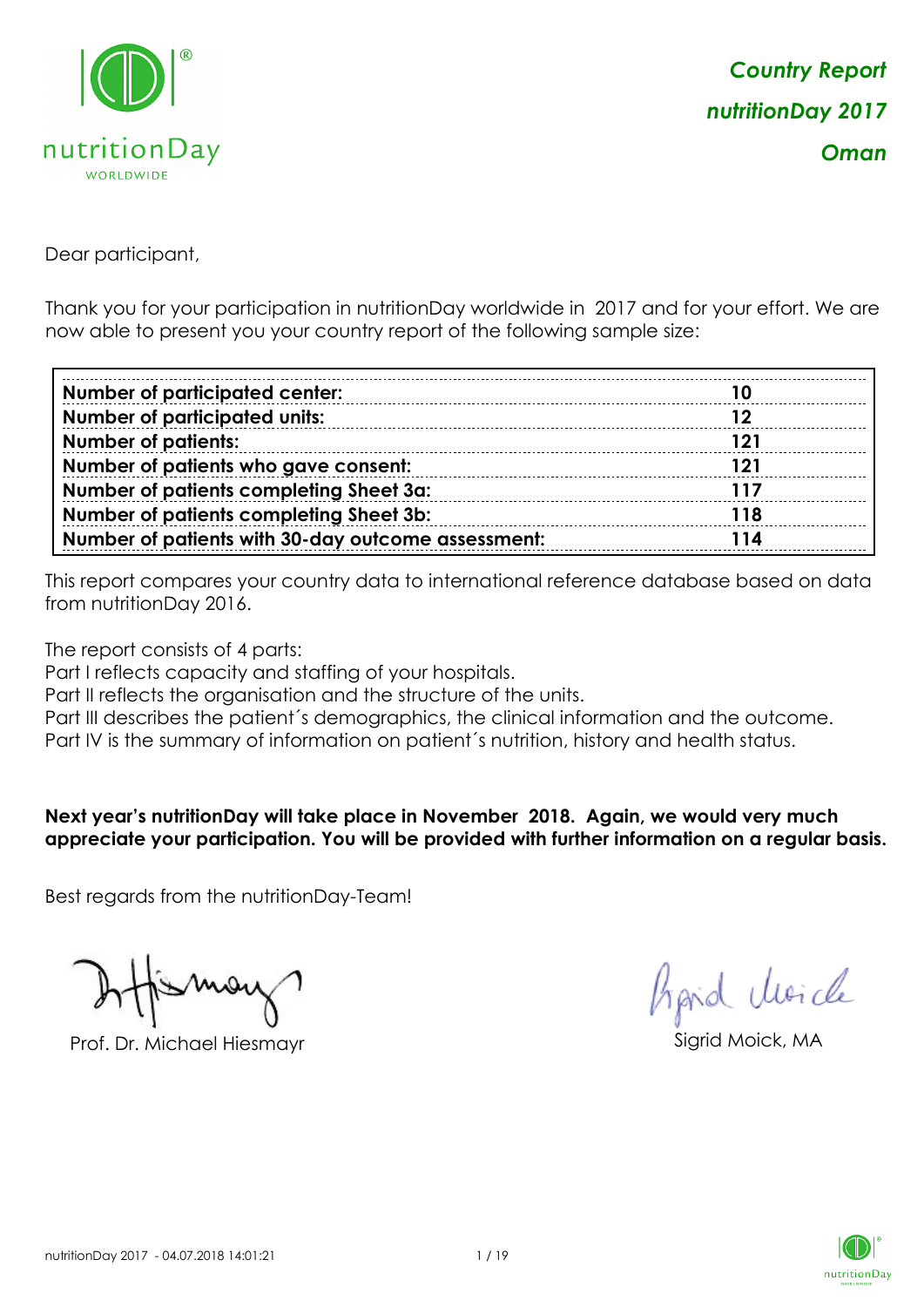

Dear participant,

Thank you for your participation in nutritionDay worldwide in 2017 and for your effort. We are now able to present you your country report of the following sample size:

| <b>Number of participated center:</b>              |            |
|----------------------------------------------------|------------|
| <b>Number of participated units:</b>               | 12         |
| <b>Number of patients:</b>                         | <b>121</b> |
| Number of patients who gave consent:               | 121        |
| Number of patients completing Sheet 3a:            | 117        |
| Number of patients completing Sheet 3b:            | <b>118</b> |
| Number of patients with 30-day outcome assessment: | 114        |

This report compares your country data to international reference database based on data from nutritionDay 2016.

The report consists of 4 parts:

Part I reflects capacity and staffing of your hospitals.

Part II reflects the organisation and the structure of the units.

Part III describes the patient's demographics, the clinical information and the outcome.

Part IV is the summary of information on patient´s nutrition, history and health status.

### **Next year's nutritionDay will take place in November 2018. Again, we would very much appreciate your participation. You will be provided with further information on a regular basis.**

Best regards from the nutritionDay-Team!

Prof. Dr. Michael Hiesmayr Sigrid Moick, MA

Aprid Unicle

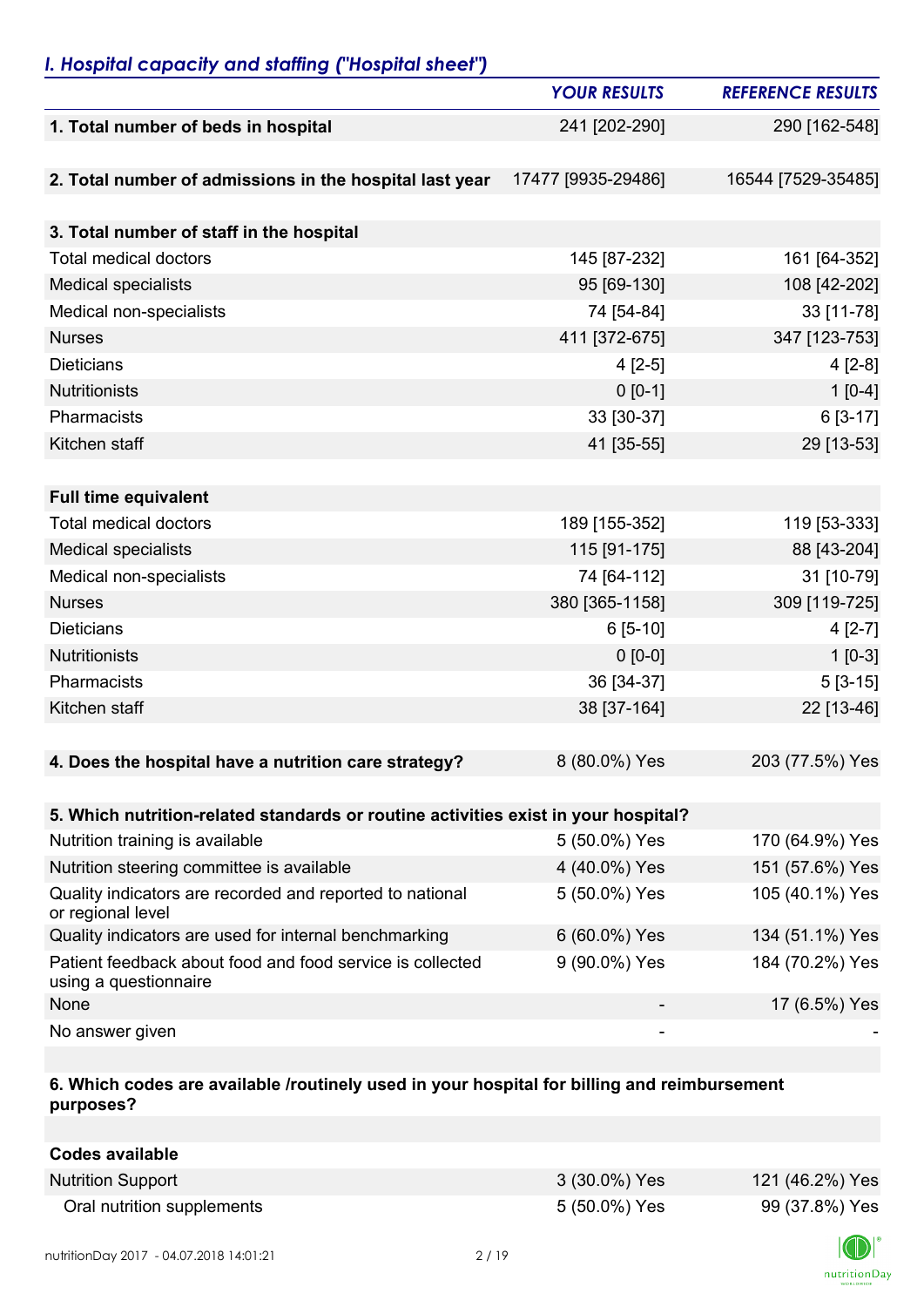## *I. Hospital capacity and staffing ("Hospital sheet")*

|                                                                                    | <b>YOUR RESULTS</b> | <b>REFERENCE RESULTS</b> |
|------------------------------------------------------------------------------------|---------------------|--------------------------|
| 1. Total number of beds in hospital                                                | 241 [202-290]       | 290 [162-548]            |
|                                                                                    |                     |                          |
| 2. Total number of admissions in the hospital last year                            | 17477 [9935-29486]  | 16544 [7529-35485]       |
|                                                                                    |                     |                          |
| 3. Total number of staff in the hospital                                           |                     |                          |
| <b>Total medical doctors</b>                                                       | 145 [87-232]        | 161 [64-352]             |
| <b>Medical specialists</b>                                                         | 95 [69-130]         | 108 [42-202]             |
| Medical non-specialists                                                            | 74 [54-84]          | 33 [11-78]               |
| <b>Nurses</b>                                                                      | 411 [372-675]       | 347 [123-753]            |
| <b>Dieticians</b>                                                                  | $4[2-5]$            | $4[2-8]$                 |
| Nutritionists                                                                      | $0 [0-1]$           | $1[0-4]$                 |
| Pharmacists                                                                        | 33 [30-37]          | 6 [3-17]                 |
| Kitchen staff                                                                      | 41 [35-55]          | 29 [13-53]               |
|                                                                                    |                     |                          |
| <b>Full time equivalent</b>                                                        |                     |                          |
| <b>Total medical doctors</b>                                                       | 189 [155-352]       | 119 [53-333]             |
| <b>Medical specialists</b>                                                         | 115 [91-175]        | 88 [43-204]              |
| Medical non-specialists                                                            | 74 [64-112]         | 31 [10-79]               |
| <b>Nurses</b>                                                                      | 380 [365-1158]      | 309 [119-725]            |
| <b>Dieticians</b>                                                                  | $6[5-10]$           | $4[2-7]$                 |
| Nutritionists                                                                      | $0 [0-0]$           | $1[0-3]$                 |
| Pharmacists                                                                        | 36 [34-37]          | $5[3-15]$                |
| Kitchen staff                                                                      | 38 [37-164]         | 22 [13-46]               |
|                                                                                    |                     |                          |
| 4. Does the hospital have a nutrition care strategy?                               | 8 (80.0%) Yes       | 203 (77.5%) Yes          |
|                                                                                    |                     |                          |
| 5. Which nutrition-related standards or routine activities exist in your hospital? |                     |                          |
| Nutrition training is available                                                    | 5 (50.0%) Yes       | 170 (64.9%) Yes          |
| Nutrition steering committee is available                                          | 4 (40.0%) Yes       | 151 (57.6%) Yes          |
| Quality indicators are recorded and reported to national<br>or regional level      | 5 (50.0%) Yes       | 105 (40.1%) Yes          |
| Quality indicators are used for internal benchmarking                              | 6 (60.0%) Yes       | 134 (51.1%) Yes          |
| Patient feedback about food and food service is collected<br>using a questionnaire | 9 (90.0%) Yes       | 184 (70.2%) Yes          |
| None                                                                               |                     | 17 (6.5%) Yes            |
| No answer given                                                                    |                     |                          |

### **6. Which codes are available /routinely used in your hospital for billing and reimbursement purposes?**

| <b>Codes available</b>     |               |                 |
|----------------------------|---------------|-----------------|
| <b>Nutrition Support</b>   | 3 (30.0%) Yes | 121 (46.2%) Yes |
| Oral nutrition supplements | 5 (50.0%) Yes | 99 (37.8%) Yes  |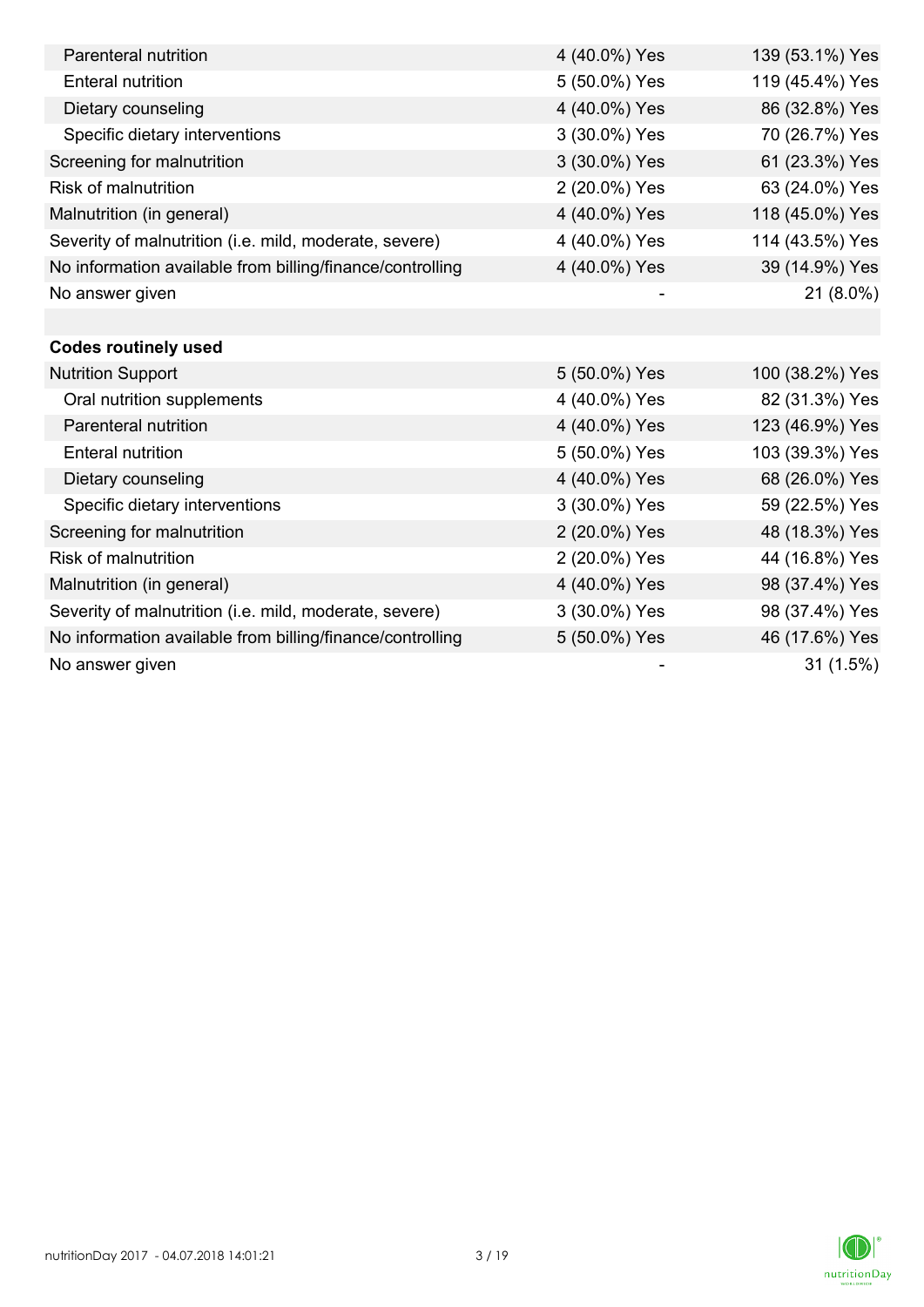| Parenteral nutrition                                      | 4 (40.0%) Yes | 139 (53.1%) Yes |
|-----------------------------------------------------------|---------------|-----------------|
| <b>Enteral nutrition</b>                                  | 5 (50.0%) Yes | 119 (45.4%) Yes |
| Dietary counseling                                        | 4 (40.0%) Yes | 86 (32.8%) Yes  |
| Specific dietary interventions                            | 3 (30.0%) Yes | 70 (26.7%) Yes  |
| Screening for malnutrition                                | 3 (30.0%) Yes | 61 (23.3%) Yes  |
| <b>Risk of malnutrition</b>                               | 2 (20.0%) Yes | 63 (24.0%) Yes  |
| Malnutrition (in general)                                 | 4 (40.0%) Yes | 118 (45.0%) Yes |
| Severity of malnutrition (i.e. mild, moderate, severe)    | 4 (40.0%) Yes | 114 (43.5%) Yes |
| No information available from billing/finance/controlling | 4 (40.0%) Yes | 39 (14.9%) Yes  |
| No answer given                                           |               | 21 (8.0%)       |
|                                                           |               |                 |
| <b>Codes routinely used</b>                               |               |                 |
| <b>Nutrition Support</b>                                  | 5 (50.0%) Yes | 100 (38.2%) Yes |
| Oral nutrition supplements                                | 4 (40.0%) Yes | 82 (31.3%) Yes  |
| Parenteral nutrition                                      | 4 (40.0%) Yes | 123 (46.9%) Yes |
| <b>Enteral nutrition</b>                                  | 5 (50.0%) Yes | 103 (39.3%) Yes |
| Dietary counseling                                        | 4 (40.0%) Yes | 68 (26.0%) Yes  |
| Specific dietary interventions                            | 3 (30.0%) Yes | 59 (22.5%) Yes  |
| Screening for malnutrition                                | 2 (20.0%) Yes | 48 (18.3%) Yes  |
| <b>Risk of malnutrition</b>                               | 2 (20.0%) Yes | 44 (16.8%) Yes  |
| Malnutrition (in general)                                 | 4 (40.0%) Yes | 98 (37.4%) Yes  |
| Severity of malnutrition (i.e. mild, moderate, severe)    | 3 (30.0%) Yes | 98 (37.4%) Yes  |
| No information available from billing/finance/controlling | 5 (50.0%) Yes | 46 (17.6%) Yes  |
| No answer given                                           |               | 31(1.5%)        |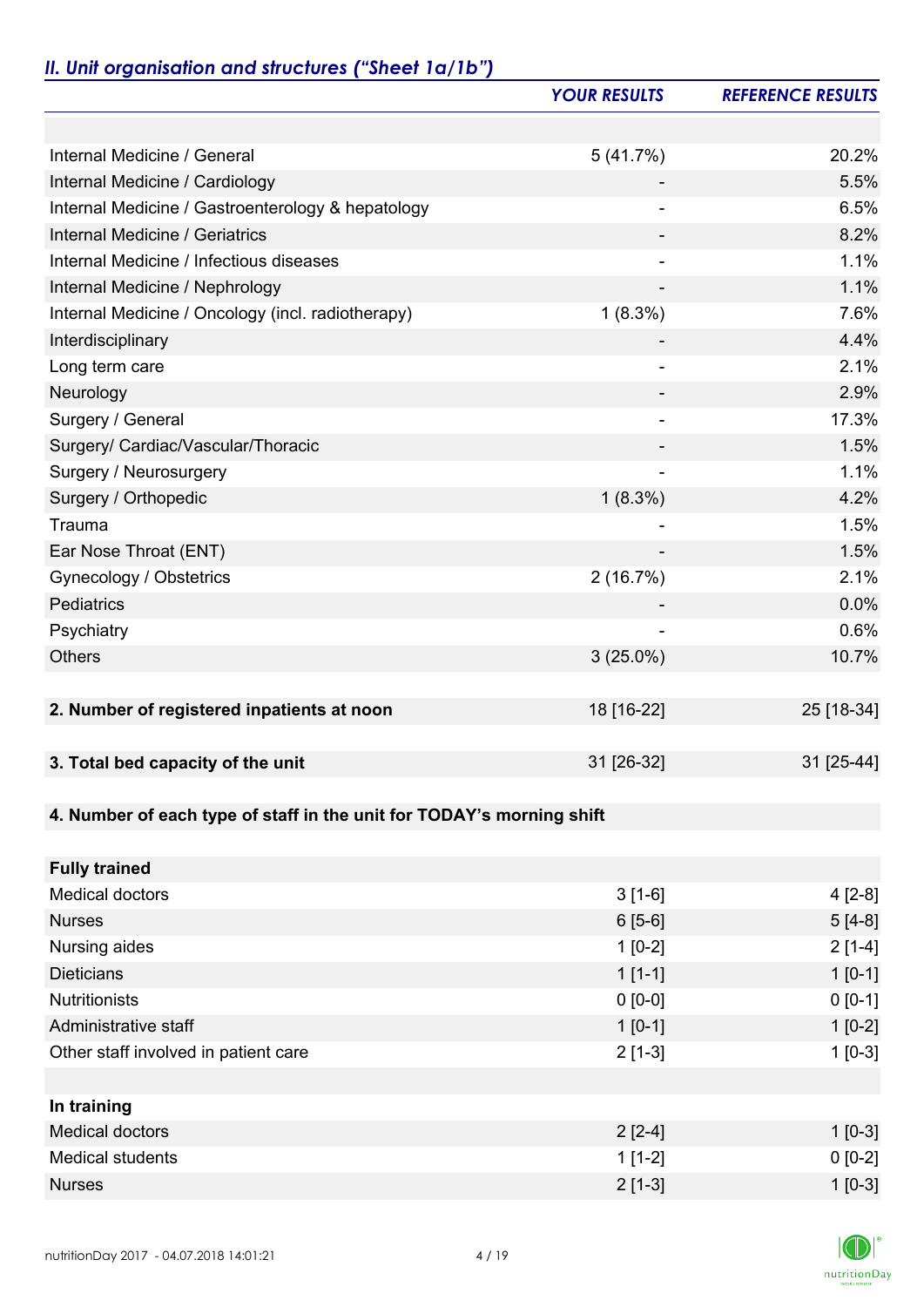# *II. Unit organisation and structures ("Sheet 1a/1b")*

|                                                                       | <b>YOUR RESULTS</b>      | <b>REFERENCE RESULTS</b> |
|-----------------------------------------------------------------------|--------------------------|--------------------------|
|                                                                       |                          |                          |
| Internal Medicine / General                                           | 5(41.7%)                 | 20.2%                    |
| Internal Medicine / Cardiology                                        |                          | 5.5%                     |
| Internal Medicine / Gastroenterology & hepatology                     |                          | 6.5%                     |
| Internal Medicine / Geriatrics                                        |                          | 8.2%                     |
| Internal Medicine / Infectious diseases                               | $\overline{\phantom{a}}$ | 1.1%                     |
| Internal Medicine / Nephrology                                        | $\overline{\phantom{a}}$ | 1.1%                     |
| Internal Medicine / Oncology (incl. radiotherapy)                     | $1(8.3\%)$               | 7.6%                     |
| Interdisciplinary                                                     |                          | 4.4%                     |
| Long term care                                                        | ٠                        | 2.1%                     |
| Neurology                                                             |                          | 2.9%                     |
| Surgery / General                                                     | $\overline{\phantom{a}}$ | 17.3%                    |
| Surgery/ Cardiac/Vascular/Thoracic                                    |                          | 1.5%                     |
| Surgery / Neurosurgery                                                |                          | 1.1%                     |
| Surgery / Orthopedic                                                  | $1(8.3\%)$               | 4.2%                     |
| Trauma                                                                |                          | 1.5%                     |
| Ear Nose Throat (ENT)                                                 |                          | 1.5%                     |
| Gynecology / Obstetrics                                               | 2(16.7%)                 | 2.1%                     |
| Pediatrics                                                            |                          | 0.0%                     |
| Psychiatry                                                            |                          | 0.6%                     |
| <b>Others</b>                                                         | $3(25.0\%)$              | 10.7%                    |
|                                                                       |                          |                          |
| 2. Number of registered inpatients at noon                            | 18 [16-22]               | 25 [18-34]               |
|                                                                       |                          |                          |
| 3. Total bed capacity of the unit                                     | 31 [26-32]               | 31 [25-44]               |
|                                                                       |                          |                          |
| 4. Number of each type of staff in the unit for TODAY's morning shift |                          |                          |
|                                                                       |                          |                          |
| <b>Fully trained</b>                                                  |                          |                          |
| <b>Medical doctors</b>                                                | $3[1-6]$                 | $4 [2-8]$                |
| <b>Nurses</b>                                                         | $6[5-6]$                 | $5[4-8]$                 |
| Nursing aides                                                         | $1[0-2]$                 | $2[1-4]$                 |
| <b>Dieticians</b>                                                     | $1[1-1]$                 | $1 [0-1]$                |
| <b>Nutritionists</b>                                                  | $0 [0-0]$                | $0 [0-1]$                |
| Administrative staff                                                  | $1[0-1]$                 | $1[0-2]$                 |
| Other staff involved in patient care                                  | $2[1-3]$                 | $1[0-3]$                 |
|                                                                       |                          |                          |
| In training                                                           |                          |                          |
| <b>Medical doctors</b>                                                | $2[2-4]$                 | $1[0-3]$                 |
| <b>Medical students</b>                                               | $1[1-2]$                 | $0 [0-2]$                |
| <b>Nurses</b>                                                         | $2[1-3]$                 | $1 [0-3]$                |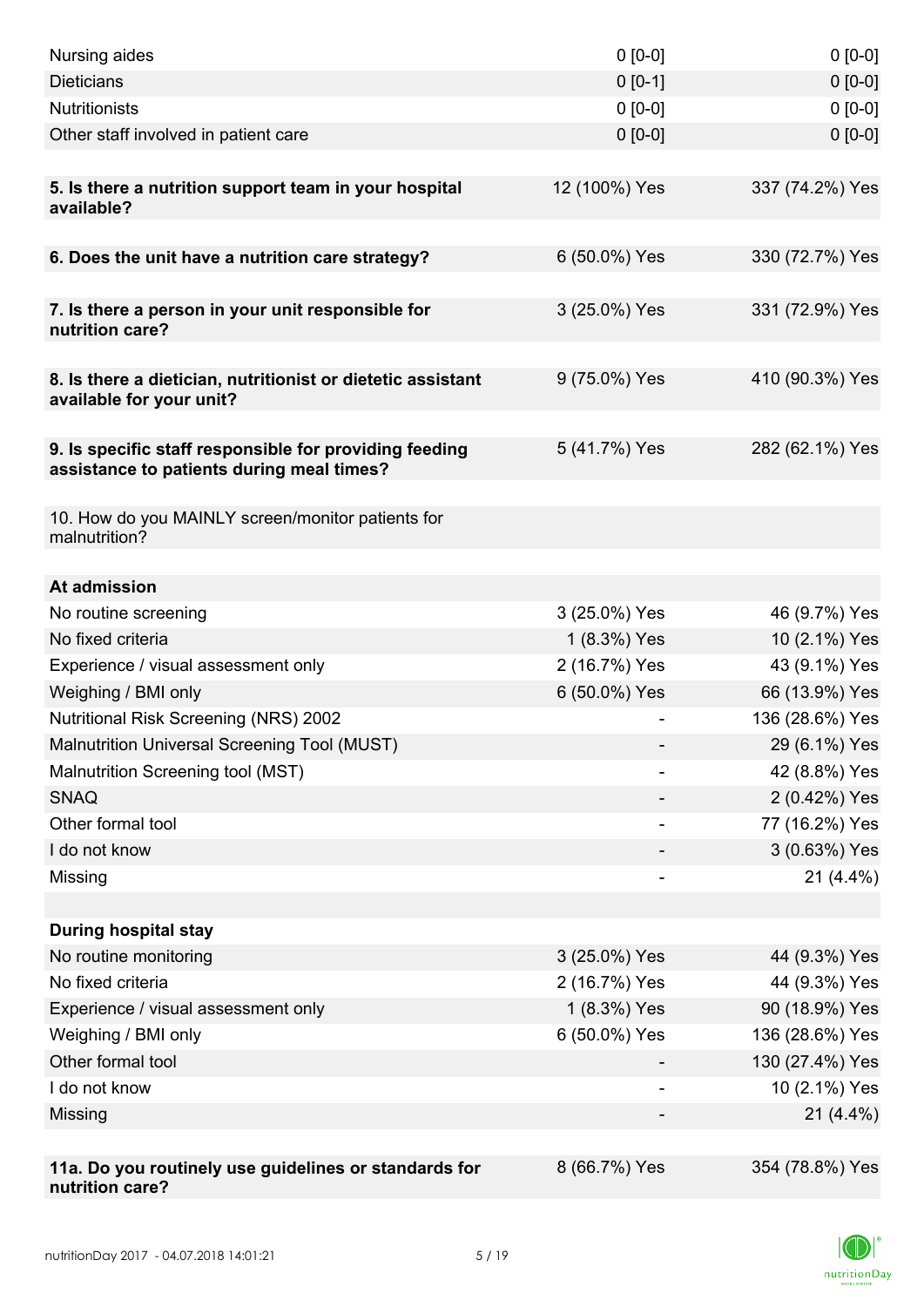| Nursing aides                                                                                       | $0 [0-0]$     | $0 [0-0]$       |
|-----------------------------------------------------------------------------------------------------|---------------|-----------------|
| <b>Dieticians</b>                                                                                   | $0 [0-1]$     | $0 [0-0]$       |
| <b>Nutritionists</b>                                                                                | $0 [0-0]$     | $0[0-0]$        |
| Other staff involved in patient care                                                                | $0 [0-0]$     | $0 [0-0]$       |
|                                                                                                     |               |                 |
| 5. Is there a nutrition support team in your hospital<br>available?                                 | 12 (100%) Yes | 337 (74.2%) Yes |
| 6. Does the unit have a nutrition care strategy?                                                    | 6 (50.0%) Yes | 330 (72.7%) Yes |
|                                                                                                     |               |                 |
| 7. Is there a person in your unit responsible for<br>nutrition care?                                | 3 (25.0%) Yes | 331 (72.9%) Yes |
| 8. Is there a dietician, nutritionist or dietetic assistant<br>available for your unit?             | 9 (75.0%) Yes | 410 (90.3%) Yes |
| 9. Is specific staff responsible for providing feeding<br>assistance to patients during meal times? | 5 (41.7%) Yes | 282 (62.1%) Yes |
| 10. How do you MAINLY screen/monitor patients for<br>malnutrition?                                  |               |                 |
| At admission                                                                                        |               |                 |
|                                                                                                     | 3 (25.0%) Yes | 46 (9.7%) Yes   |
| No routine screening<br>No fixed criteria                                                           | 1 (8.3%) Yes  | 10 (2.1%) Yes   |
| Experience / visual assessment only                                                                 | 2 (16.7%) Yes | 43 (9.1%) Yes   |
| Weighing / BMI only                                                                                 | 6 (50.0%) Yes | 66 (13.9%) Yes  |
| <b>Nutritional Risk Screening (NRS) 2002</b>                                                        |               | 136 (28.6%) Yes |
| Malnutrition Universal Screening Tool (MUST)                                                        |               | 29 (6.1%) Yes   |
| Malnutrition Screening tool (MST)                                                                   |               | 42 (8.8%) Yes   |
| <b>SNAQ</b>                                                                                         |               | 2 (0.42%) Yes   |
| Other formal tool                                                                                   |               | 77 (16.2%) Yes  |
| I do not know                                                                                       |               | 3 (0.63%) Yes   |
| Missing                                                                                             |               | $21(4.4\%)$     |
|                                                                                                     |               |                 |
| <b>During hospital stay</b>                                                                         |               |                 |
| No routine monitoring                                                                               | 3 (25.0%) Yes | 44 (9.3%) Yes   |
| No fixed criteria                                                                                   | 2 (16.7%) Yes | 44 (9.3%) Yes   |
| Experience / visual assessment only                                                                 | 1 (8.3%) Yes  | 90 (18.9%) Yes  |
| Weighing / BMI only                                                                                 | 6 (50.0%) Yes | 136 (28.6%) Yes |
| Other formal tool                                                                                   |               | 130 (27.4%) Yes |
| I do not know                                                                                       |               | 10 (2.1%) Yes   |
| Missing                                                                                             |               | $21(4.4\%)$     |
|                                                                                                     |               |                 |
| 11a. Do you routinely use guidelines or standards for<br>nutrition care?                            | 8 (66.7%) Yes | 354 (78.8%) Yes |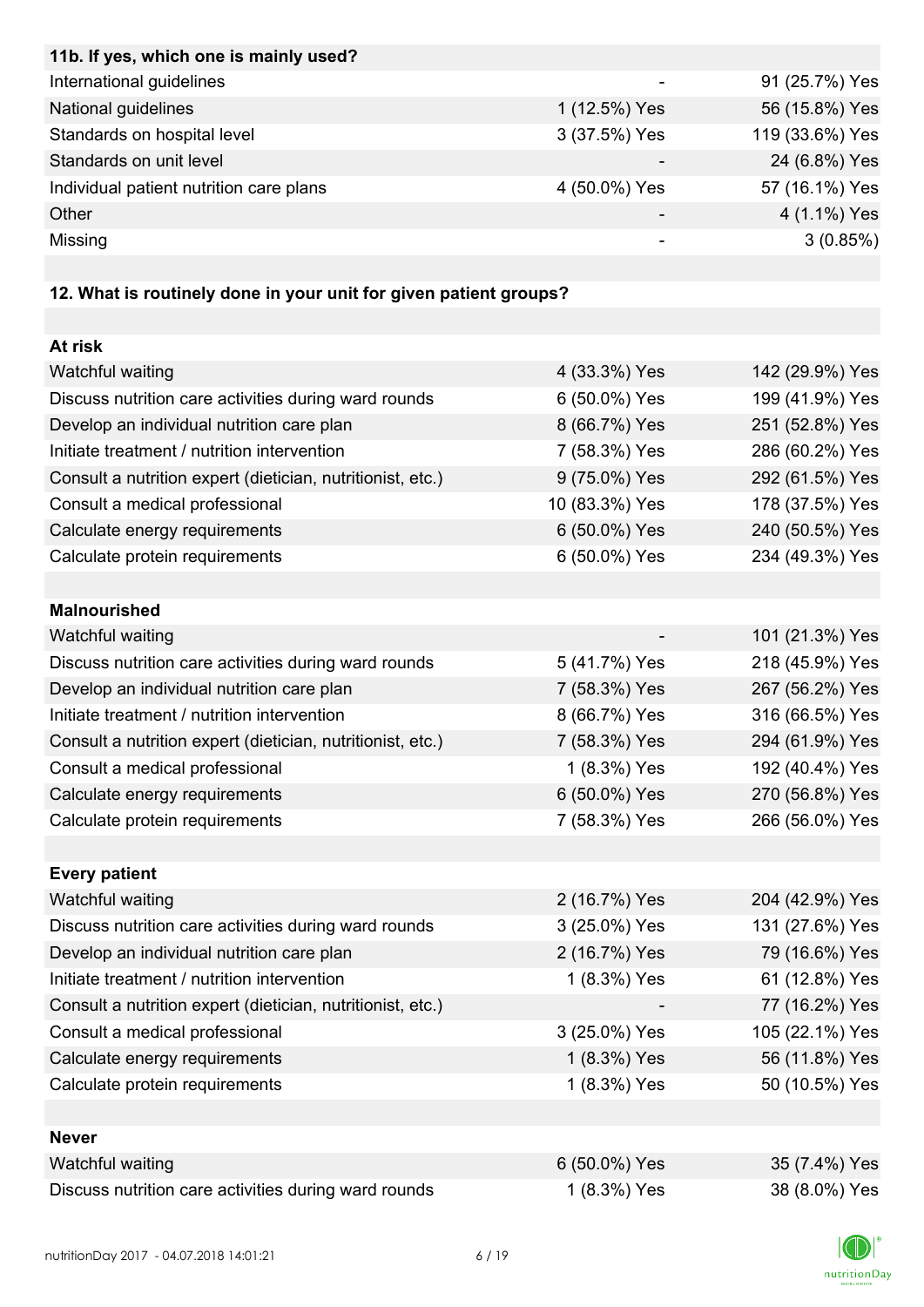| 11b. If yes, which one is mainly used?                                                                                                                   |               |                 |
|----------------------------------------------------------------------------------------------------------------------------------------------------------|---------------|-----------------|
| International guidelines                                                                                                                                 |               | 91 (25.7%) Yes  |
| National guidelines                                                                                                                                      | 1 (12.5%) Yes | 56 (15.8%) Yes  |
| Standards on hospital level                                                                                                                              | 3 (37.5%) Yes | 119 (33.6%) Yes |
| Standards on unit level                                                                                                                                  |               | 24 (6.8%) Yes   |
| Individual patient nutrition care plans                                                                                                                  | 4 (50.0%) Yes | 57 (16.1%) Yes  |
| Other                                                                                                                                                    | -             | 4 (1.1%) Yes    |
| Missing                                                                                                                                                  | ۰             | 3(0.85%)        |
|                                                                                                                                                          |               |                 |
| $\overline{10.111}$ $\overline{11.11}$ $\overline{11.11}$ $\overline{11.11}$ $\overline{11.11}$ $\overline{11.11}$ $\overline{11.11}$ $\overline{11.11}$ |               |                 |

#### **12. What is routinely done in your unit for given patient groups?**

| At risk                                                    |                |                 |
|------------------------------------------------------------|----------------|-----------------|
| Watchful waiting                                           | 4 (33.3%) Yes  | 142 (29.9%) Yes |
| Discuss nutrition care activities during ward rounds       | 6 (50.0%) Yes  | 199 (41.9%) Yes |
| Develop an individual nutrition care plan                  | 8 (66.7%) Yes  | 251 (52.8%) Yes |
| Initiate treatment / nutrition intervention                | 7 (58.3%) Yes  | 286 (60.2%) Yes |
| Consult a nutrition expert (dietician, nutritionist, etc.) | 9 (75.0%) Yes  | 292 (61.5%) Yes |
| Consult a medical professional                             | 10 (83.3%) Yes | 178 (37.5%) Yes |
| Calculate energy requirements                              | 6 (50.0%) Yes  | 240 (50.5%) Yes |
| Calculate protein requirements                             | 6 (50.0%) Yes  | 234 (49.3%) Yes |
|                                                            |                |                 |
| <b>Malnourished</b>                                        |                |                 |
| Watchful waiting                                           |                | 101 (21.3%) Yes |
| Discuss nutrition care activities during ward rounds       | 5 (41.7%) Yes  | 218 (45.9%) Yes |
| Develop an individual nutrition care plan                  | 7 (58.3%) Yes  | 267 (56.2%) Yes |
| Initiate treatment / nutrition intervention                | 8 (66.7%) Yes  | 316 (66.5%) Yes |
| Consult a nutrition expert (dietician, nutritionist, etc.) | 7 (58.3%) Yes  | 294 (61.9%) Yes |
| Consult a medical professional                             | 1 (8.3%) Yes   | 192 (40.4%) Yes |
| Calculate energy requirements                              | 6 (50.0%) Yes  | 270 (56.8%) Yes |
| Calculate protein requirements                             | 7 (58.3%) Yes  | 266 (56.0%) Yes |
|                                                            |                |                 |
| <b>Every patient</b>                                       |                |                 |
| Watchful waiting                                           | 2 (16.7%) Yes  | 204 (42.9%) Yes |
| Discuss nutrition care activities during ward rounds       | 3 (25.0%) Yes  | 131 (27.6%) Yes |
| Develop an individual nutrition care plan                  | 2 (16.7%) Yes  | 79 (16.6%) Yes  |
| Initiate treatment / nutrition intervention                | 1 (8.3%) Yes   | 61 (12.8%) Yes  |
| Consult a nutrition expert (dietician, nutritionist, etc.) |                | 77 (16.2%) Yes  |
| Consult a medical professional                             | 3 (25.0%) Yes  | 105 (22.1%) Yes |
| Calculate energy requirements                              | 1 (8.3%) Yes   | 56 (11.8%) Yes  |
| Calculate protein requirements                             | 1 (8.3%) Yes   | 50 (10.5%) Yes  |
|                                                            |                |                 |
| <b>Never</b>                                               |                |                 |
| Watchful waiting                                           | 6 (50.0%) Yes  | 35 (7.4%) Yes   |
| Discuss nutrition care activities during ward rounds       | 1 (8.3%) Yes   | 38 (8.0%) Yes   |

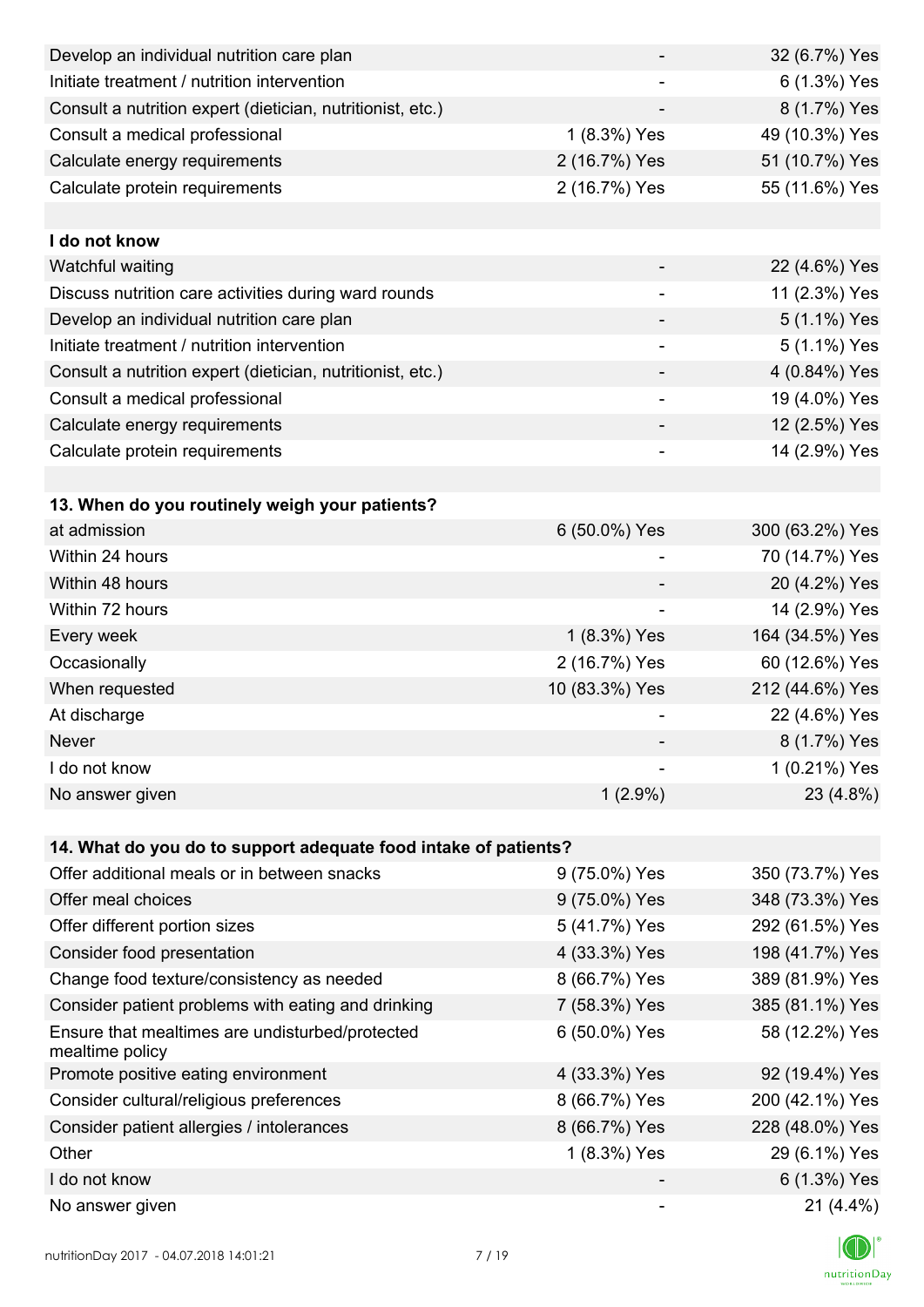| Develop an individual nutrition care plan                          |                          | 32 (6.7%) Yes   |
|--------------------------------------------------------------------|--------------------------|-----------------|
| Initiate treatment / nutrition intervention                        |                          | 6 (1.3%) Yes    |
| Consult a nutrition expert (dietician, nutritionist, etc.)         |                          | 8 (1.7%) Yes    |
| Consult a medical professional                                     | 1 (8.3%) Yes             | 49 (10.3%) Yes  |
| Calculate energy requirements                                      | 2 (16.7%) Yes            | 51 (10.7%) Yes  |
| Calculate protein requirements                                     | 2 (16.7%) Yes            | 55 (11.6%) Yes  |
|                                                                    |                          |                 |
| I do not know                                                      |                          |                 |
| Watchful waiting                                                   |                          | 22 (4.6%) Yes   |
| Discuss nutrition care activities during ward rounds               |                          | 11 (2.3%) Yes   |
| Develop an individual nutrition care plan                          |                          | 5 (1.1%) Yes    |
| Initiate treatment / nutrition intervention                        | $\overline{\phantom{a}}$ | 5 (1.1%) Yes    |
| Consult a nutrition expert (dietician, nutritionist, etc.)         |                          | 4 (0.84%) Yes   |
| Consult a medical professional                                     |                          | 19 (4.0%) Yes   |
| Calculate energy requirements                                      |                          | 12 (2.5%) Yes   |
| Calculate protein requirements                                     |                          | 14 (2.9%) Yes   |
|                                                                    |                          |                 |
| 13. When do you routinely weigh your patients?                     |                          |                 |
| at admission                                                       | 6 (50.0%) Yes            | 300 (63.2%) Yes |
| Within 24 hours                                                    |                          | 70 (14.7%) Yes  |
| Within 48 hours                                                    |                          | 20 (4.2%) Yes   |
| Within 72 hours                                                    |                          | 14 (2.9%) Yes   |
| Every week                                                         | 1 (8.3%) Yes             | 164 (34.5%) Yes |
| Occasionally                                                       | 2 (16.7%) Yes            | 60 (12.6%) Yes  |
| When requested                                                     | 10 (83.3%) Yes           | 212 (44.6%) Yes |
| At discharge                                                       |                          | 22 (4.6%) Yes   |
| Never                                                              |                          | 8 (1.7%) Yes    |
| I do not know                                                      |                          | 1 (0.21%) Yes   |
| No answer given                                                    | $1(2.9\%)$               | 23 (4.8%)       |
|                                                                    |                          |                 |
| 14. What do you do to support adequate food intake of patients?    |                          |                 |
| Offer additional meals or in between snacks                        | 9 (75.0%) Yes            | 350 (73.7%) Yes |
| Offer meal choices                                                 | 9 (75.0%) Yes            | 348 (73.3%) Yes |
| Offer different portion sizes                                      | 5 (41.7%) Yes            | 292 (61.5%) Yes |
| Consider food presentation                                         | 4 (33.3%) Yes            | 198 (41.7%) Yes |
| Change food texture/consistency as needed                          | 8 (66.7%) Yes            | 389 (81.9%) Yes |
| Consider patient problems with eating and drinking                 | 7 (58.3%) Yes            | 385 (81.1%) Yes |
| Ensure that mealtimes are undisturbed/protected<br>mealtime policy | 6 (50.0%) Yes            | 58 (12.2%) Yes  |
| Promote positive eating environment                                | 4 (33.3%) Yes            | 92 (19.4%) Yes  |
| Consider cultural/religious preferences                            | 8 (66.7%) Yes            | 200 (42.1%) Yes |
| Consider patient allergies / intolerances                          | 8 (66.7%) Yes            | 228 (48.0%) Yes |
| Other                                                              | 1 (8.3%) Yes             | 29 (6.1%) Yes   |
| I do not know                                                      |                          | 6 (1.3%) Yes    |
| No answer given                                                    |                          | $21(4.4\%)$     |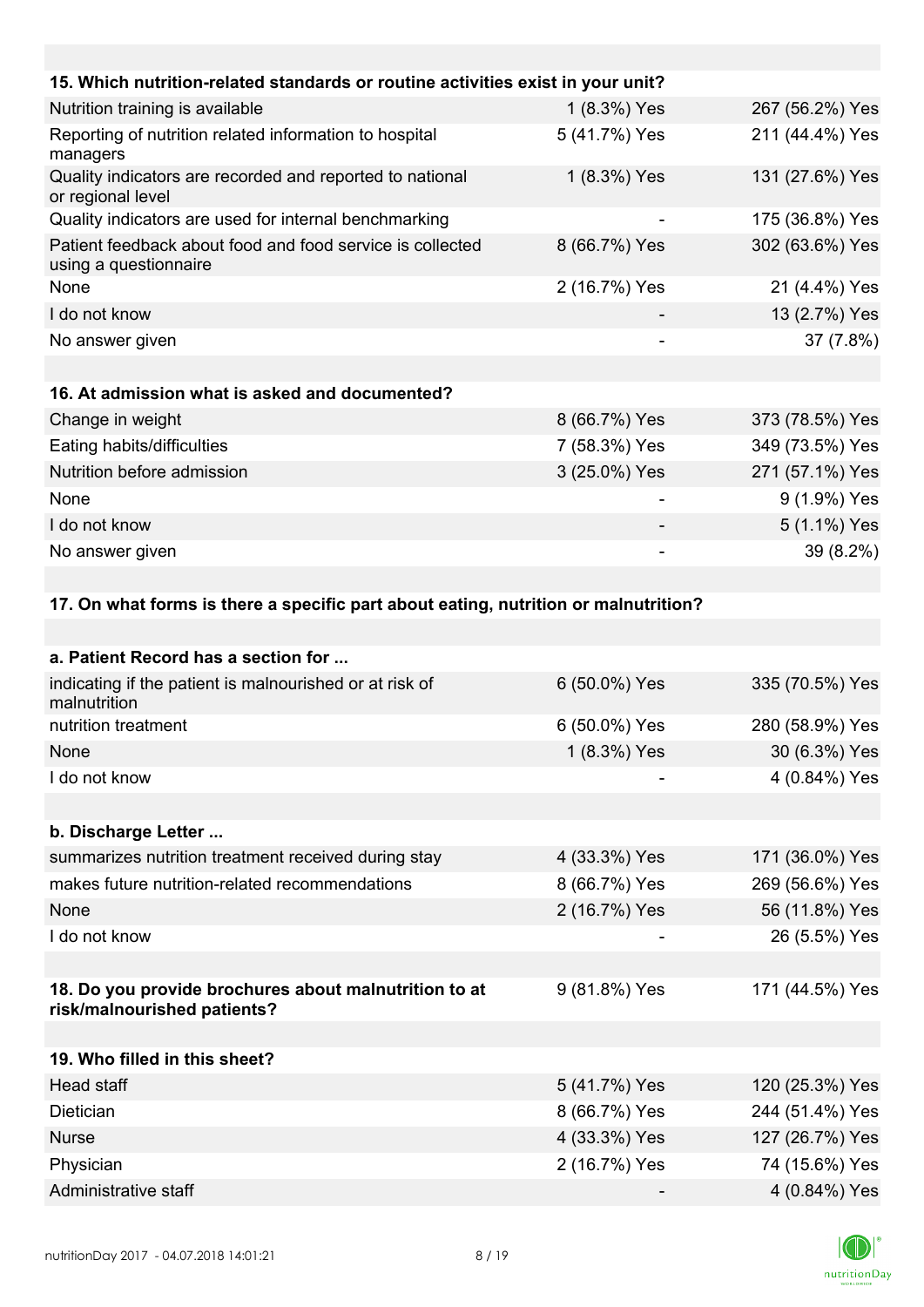| 15. Which nutrition-related standards or routine activities exist in your unit?     |               |                 |
|-------------------------------------------------------------------------------------|---------------|-----------------|
| Nutrition training is available                                                     | 1 (8.3%) Yes  | 267 (56.2%) Yes |
| Reporting of nutrition related information to hospital<br>managers                  | 5 (41.7%) Yes | 211 (44.4%) Yes |
| Quality indicators are recorded and reported to national<br>or regional level       | 1 (8.3%) Yes  | 131 (27.6%) Yes |
| Quality indicators are used for internal benchmarking                               |               | 175 (36.8%) Yes |
| Patient feedback about food and food service is collected<br>using a questionnaire  | 8 (66.7%) Yes | 302 (63.6%) Yes |
| None                                                                                | 2 (16.7%) Yes | 21 (4.4%) Yes   |
| I do not know                                                                       |               | 13 (2.7%) Yes   |
| No answer given                                                                     |               | 37 (7.8%)       |
|                                                                                     |               |                 |
| 16. At admission what is asked and documented?                                      |               |                 |
| Change in weight                                                                    | 8 (66.7%) Yes | 373 (78.5%) Yes |
| Eating habits/difficulties                                                          | 7 (58.3%) Yes | 349 (73.5%) Yes |
| Nutrition before admission                                                          | 3 (25.0%) Yes | 271 (57.1%) Yes |
| None                                                                                | ۰             | 9 (1.9%) Yes    |
| I do not know                                                                       |               | 5 (1.1%) Yes    |
| No answer given                                                                     |               | 39 (8.2%)       |
|                                                                                     |               |                 |
| 17. On what forms is there a specific part about eating, nutrition or malnutrition? |               |                 |
|                                                                                     |               |                 |
| a. Patient Record has a section for                                                 |               |                 |
| indicating if the patient is malnourished or at risk of<br>malnutrition             | 6 (50.0%) Yes | 335 (70.5%) Yes |
| nutrition treatment                                                                 | 6 (50.0%) Yes | 280 (58.9%) Yes |

| None          | $1(8.3\%)$ Yes | 30 (6.3%) Yes |
|---------------|----------------|---------------|
| I do not know |                | 4 (0.84%) Yes |

**b. Discharge Letter ...**

| <b>D. DISCHALGE FEITEL </b>                         |               |                 |
|-----------------------------------------------------|---------------|-----------------|
| summarizes nutrition treatment received during stay | 4 (33.3%) Yes | 171 (36.0%) Yes |
| makes future nutrition-related recommendations      | 8 (66.7%) Yes | 269 (56.6%) Yes |
| <b>None</b>                                         | 2 (16.7%) Yes | 56 (11.8%) Yes  |
| I do not know                                       |               | 26 (5.5%) Yes   |
|                                                     |               |                 |

### **18. Do you provide brochures about malnutrition to at risk/malnourished patients?** 9 (81.8%) Yes 171 (44.5%) Yes

| 19. Who filled in this sheet? |               |                 |
|-------------------------------|---------------|-----------------|
| Head staff                    | 5 (41.7%) Yes | 120 (25.3%) Yes |
| <b>Dietician</b>              | 8 (66.7%) Yes | 244 (51.4%) Yes |
| <b>Nurse</b>                  | 4 (33.3%) Yes | 127 (26.7%) Yes |
| Physician                     | 2 (16.7%) Yes | 74 (15.6%) Yes  |
| Administrative staff          |               | 4 (0.84%) Yes   |

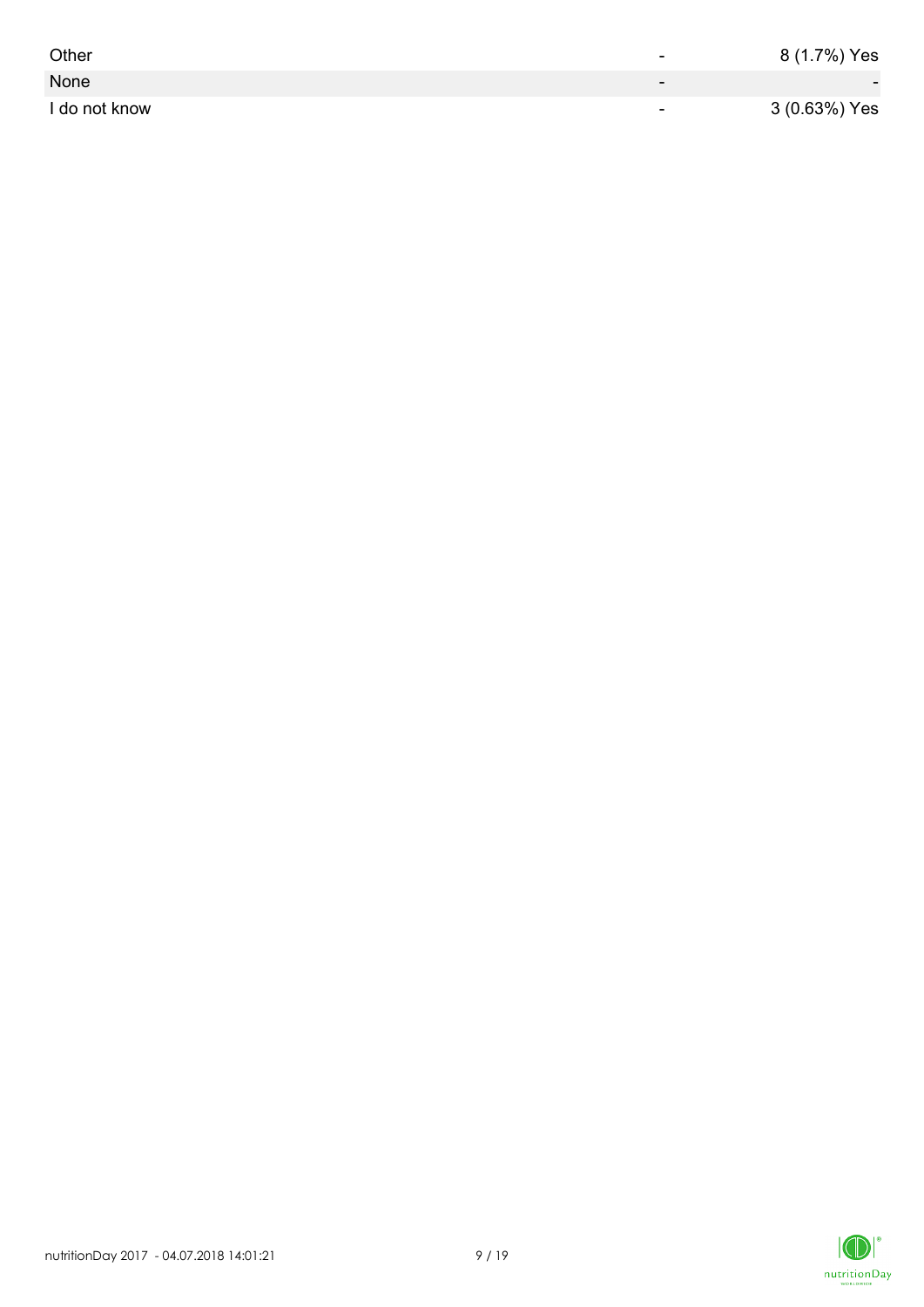| Other         | -                        | 8 (1.7%) Yes             |
|---------------|--------------------------|--------------------------|
| None          | $\overline{\phantom{0}}$ | $\overline{\phantom{0}}$ |
| I do not know | $\overline{\phantom{a}}$ | 3 (0.63%) Yes            |

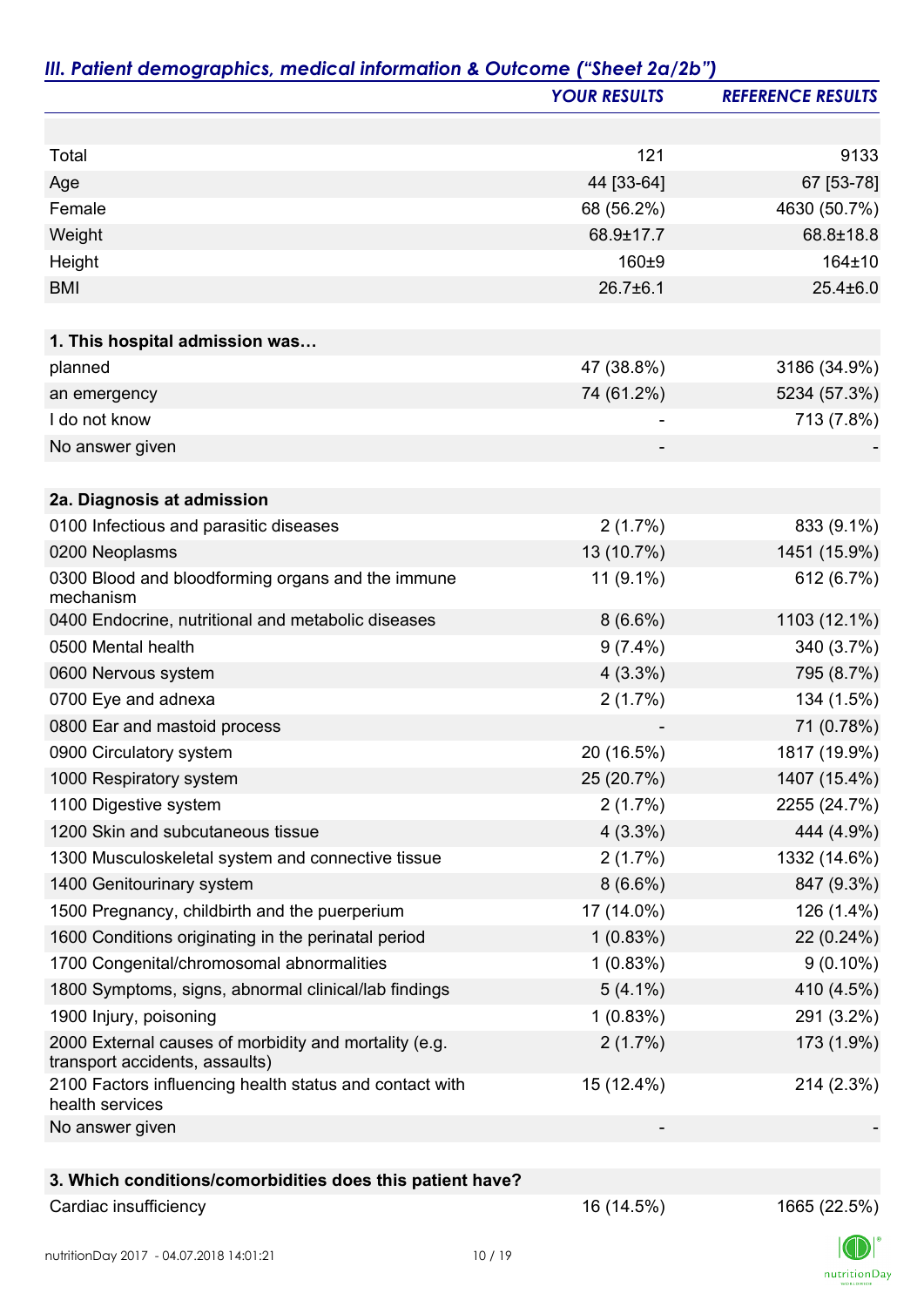|                                                                                         | <b>YOUR RESULTS</b> | <b>REFERENCE RESULTS</b> |
|-----------------------------------------------------------------------------------------|---------------------|--------------------------|
|                                                                                         |                     |                          |
| Total                                                                                   | 121                 | 9133                     |
| Age                                                                                     | 44 [33-64]          | 67 [53-78]               |
| Female                                                                                  | 68 (56.2%)          | 4630 (50.7%)             |
| Weight                                                                                  | 68.9±17.7           | 68.8±18.8                |
| Height                                                                                  | 160±9               | 164±10                   |
| <b>BMI</b>                                                                              | $26.7 \pm 6.1$      | $25.4 \pm 6.0$           |
| 1. This hospital admission was                                                          |                     |                          |
| planned                                                                                 | 47 (38.8%)          | 3186 (34.9%)             |
| an emergency                                                                            | 74 (61.2%)          | 5234 (57.3%)             |
| I do not know                                                                           |                     | 713 (7.8%)               |
| No answer given                                                                         |                     |                          |
|                                                                                         |                     |                          |
| 2a. Diagnosis at admission                                                              |                     |                          |
| 0100 Infectious and parasitic diseases                                                  | 2(1.7%)             | 833 (9.1%)               |
| 0200 Neoplasms                                                                          | 13 (10.7%)          | 1451 (15.9%)             |
| 0300 Blood and bloodforming organs and the immune<br>mechanism                          | $11(9.1\%)$         | 612 (6.7%)               |
| 0400 Endocrine, nutritional and metabolic diseases                                      | $8(6.6\%)$          | 1103 (12.1%)             |
| 0500 Mental health                                                                      | $9(7.4\%)$          | 340 (3.7%)               |
| 0600 Nervous system                                                                     | $4(3.3\%)$          | 795 (8.7%)               |
| 0700 Eye and adnexa                                                                     | 2(1.7%)             | 134 (1.5%)               |
| 0800 Ear and mastoid process                                                            |                     | 71 (0.78%)               |
| 0900 Circulatory system                                                                 | 20 (16.5%)          | 1817 (19.9%)             |
| 1000 Respiratory system                                                                 | 25 (20.7%)          | 1407 (15.4%)             |
| 1100 Digestive system                                                                   | 2(1.7%)             | 2255 (24.7%)             |
| 1200 Skin and subcutaneous tissue                                                       | $4(3.3\%)$          | 444 (4.9%)               |
| 1300 Musculoskeletal system and connective tissue                                       | 2(1.7%)             | 1332 (14.6%)             |
| 1400 Genitourinary system                                                               | $8(6.6\%)$          | 847 (9.3%)               |
| 1500 Pregnancy, childbirth and the puerperium                                           | 17 (14.0%)          | 126 (1.4%)               |
| 1600 Conditions originating in the perinatal period                                     | 1(0.83%)            | 22 (0.24%)               |
| 1700 Congenital/chromosomal abnormalities                                               | 1(0.83%)            | $9(0.10\%)$              |
| 1800 Symptoms, signs, abnormal clinical/lab findings                                    | $5(4.1\%)$          | 410 (4.5%)               |
| 1900 Injury, poisoning                                                                  | 1(0.83%)            | 291 (3.2%)               |
| 2000 External causes of morbidity and mortality (e.g.<br>transport accidents, assaults) | 2(1.7%)             | 173 (1.9%)               |
| 2100 Factors influencing health status and contact with<br>health services              | 15 (12.4%)          | 214 (2.3%)               |
| No answer given                                                                         |                     |                          |
|                                                                                         |                     |                          |
| 3. Which conditions/comorbidities does this patient have?                               |                     |                          |
| Cardiac insufficiency                                                                   | 16 (14.5%)          | 1665 (22.5%)             |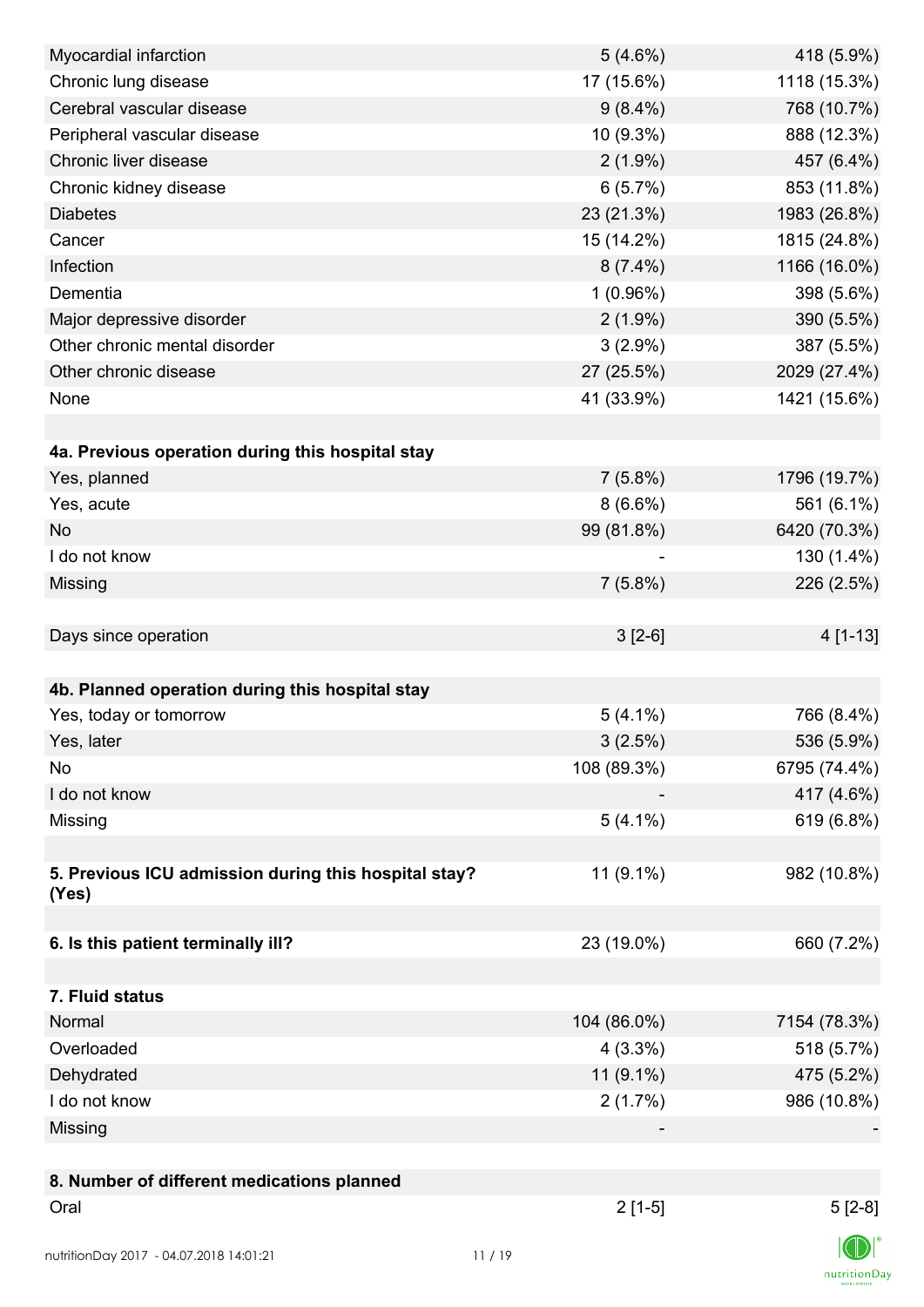| Myocardial infarction                                | 5(4.6%)     | 418 (5.9%)   |
|------------------------------------------------------|-------------|--------------|
| Chronic lung disease                                 | 17 (15.6%)  | 1118 (15.3%) |
| Cerebral vascular disease                            | $9(8.4\%)$  | 768 (10.7%)  |
| Peripheral vascular disease                          | 10 (9.3%)   | 888 (12.3%)  |
| Chronic liver disease                                | $2(1.9\%)$  | 457 (6.4%)   |
| Chronic kidney disease                               | 6(5.7%)     | 853 (11.8%)  |
| <b>Diabetes</b>                                      | 23 (21.3%)  | 1983 (26.8%) |
| Cancer                                               | 15 (14.2%)  | 1815 (24.8%) |
| Infection                                            | $8(7.4\%)$  | 1166 (16.0%) |
| Dementia                                             | 1(0.96%)    | 398 (5.6%)   |
| Major depressive disorder                            | $2(1.9\%)$  | 390 (5.5%)   |
| Other chronic mental disorder                        | $3(2.9\%)$  | 387 (5.5%)   |
| Other chronic disease                                | 27 (25.5%)  | 2029 (27.4%) |
| None                                                 | 41 (33.9%)  | 1421 (15.6%) |
|                                                      |             |              |
| 4a. Previous operation during this hospital stay     |             |              |
| Yes, planned                                         | $7(5.8\%)$  | 1796 (19.7%) |
| Yes, acute                                           | $8(6.6\%)$  | 561 (6.1%)   |
| <b>No</b>                                            | 99 (81.8%)  | 6420 (70.3%) |
| I do not know                                        |             | 130 (1.4%)   |
| Missing                                              | $7(5.8\%)$  | 226 (2.5%)   |
|                                                      |             |              |
| Days since operation                                 | $3[2-6]$    | 4 [1-13]     |
|                                                      |             |              |
| 4b. Planned operation during this hospital stay      |             |              |
| Yes, today or tomorrow                               | $5(4.1\%)$  | 766 (8.4%)   |
| Yes, later                                           | 3(2.5%)     | 536 (5.9%)   |
| No                                                   | 108 (89.3%) | 6795 (74.4%) |
| I do not know                                        |             | 417 (4.6%)   |
| Missing                                              | $5(4.1\%)$  | 619 (6.8%)   |
|                                                      |             |              |
| 5. Previous ICU admission during this hospital stay? | 11 (9.1%)   | 982 (10.8%)  |
| (Yes)                                                |             |              |
|                                                      |             |              |
| 6. Is this patient terminally ill?                   | 23 (19.0%)  | 660 (7.2%)   |
|                                                      |             |              |
| 7. Fluid status                                      |             |              |
| Normal                                               | 104 (86.0%) | 7154 (78.3%) |
| Overloaded                                           | $4(3.3\%)$  | 518 (5.7%)   |
| Dehydrated                                           | 11 (9.1%)   | 475 (5.2%)   |
| I do not know                                        | 2(1.7%)     | 986 (10.8%)  |
| Missing                                              |             |              |
|                                                      |             |              |
| 8. Number of different medications planned           |             |              |
| Oral                                                 | $2[1-5]$    | $5[2-8]$     |
| nutritionDay 2017 - 04.07.2018 14:01:21              | 11/19       |              |

 $\textsf{nutritionDay}$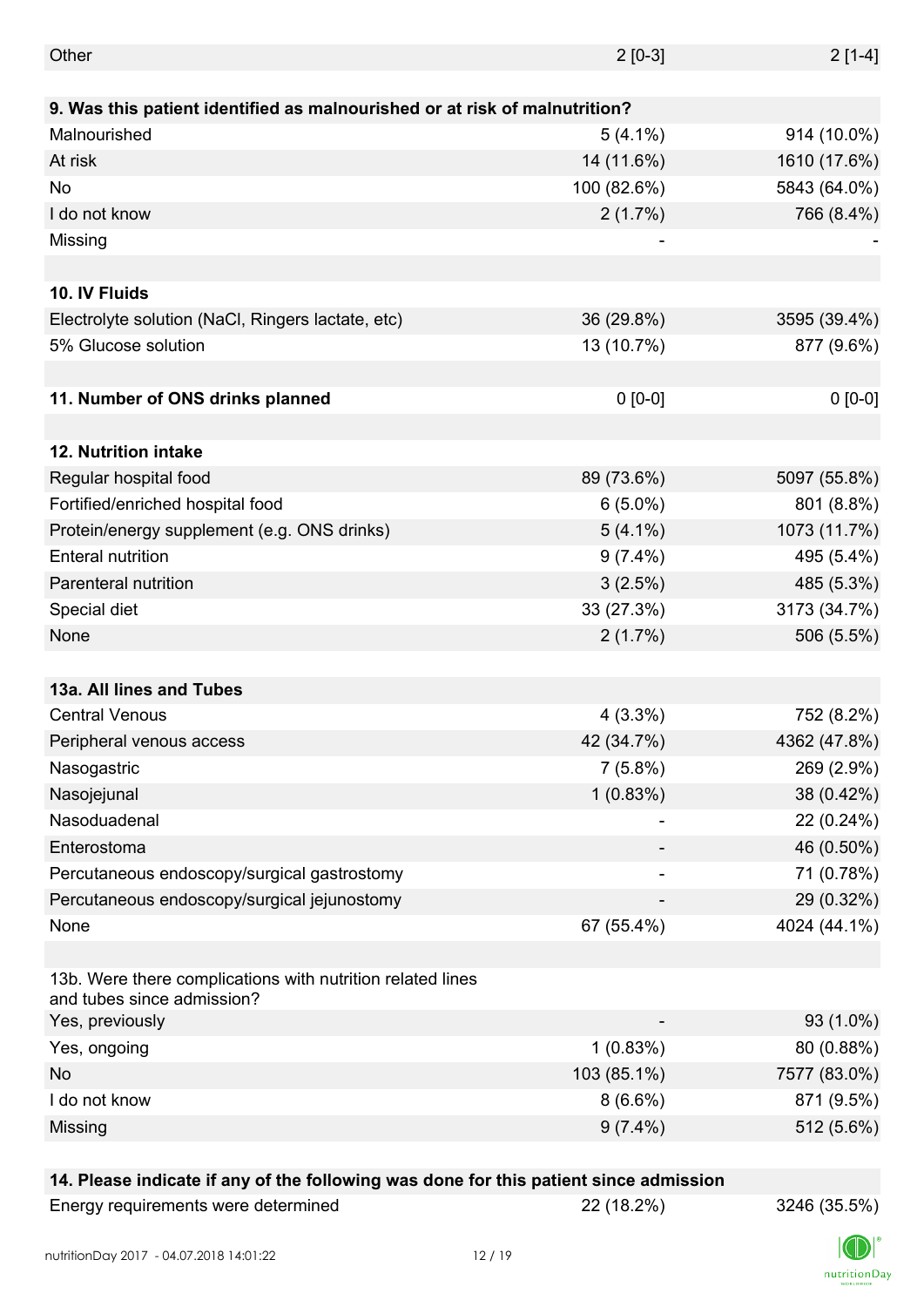| Other                                                                                    | $2[0-3]$    | $2[1-4]$     |
|------------------------------------------------------------------------------------------|-------------|--------------|
|                                                                                          |             |              |
| 9. Was this patient identified as malnourished or at risk of malnutrition?               |             |              |
| Malnourished                                                                             | $5(4.1\%)$  | 914 (10.0%)  |
| At risk                                                                                  | 14 (11.6%)  | 1610 (17.6%) |
| No                                                                                       | 100 (82.6%) | 5843 (64.0%) |
| I do not know                                                                            | 2(1.7%)     | 766 (8.4%)   |
| Missing                                                                                  | -           |              |
|                                                                                          |             |              |
| 10. IV Fluids                                                                            |             |              |
| Electrolyte solution (NaCl, Ringers lactate, etc)                                        | 36 (29.8%)  | 3595 (39.4%) |
| 5% Glucose solution                                                                      | 13 (10.7%)  | 877 (9.6%)   |
|                                                                                          |             |              |
| 11. Number of ONS drinks planned                                                         | $0 [0-0]$   | $0 [0-0]$    |
|                                                                                          |             |              |
| <b>12. Nutrition intake</b>                                                              |             |              |
| Regular hospital food                                                                    | 89 (73.6%)  | 5097 (55.8%) |
| Fortified/enriched hospital food                                                         | $6(5.0\%)$  | 801 (8.8%)   |
| Protein/energy supplement (e.g. ONS drinks)                                              | $5(4.1\%)$  | 1073 (11.7%) |
| <b>Enteral nutrition</b>                                                                 | $9(7.4\%)$  | 495 (5.4%)   |
| Parenteral nutrition                                                                     | 3(2.5%)     | 485 (5.3%)   |
| Special diet                                                                             | 33 (27.3%)  | 3173 (34.7%) |
| None                                                                                     | 2(1.7%)     | 506 (5.5%)   |
|                                                                                          |             |              |
| 13a. All lines and Tubes                                                                 |             |              |
| <b>Central Venous</b>                                                                    | $4(3.3\%)$  | 752 (8.2%)   |
| Peripheral venous access                                                                 | 42 (34.7%)  | 4362 (47.8%) |
| Nasogastric                                                                              | $7(5.8\%)$  | 269 (2.9%)   |
| Nasojejunal                                                                              | 1(0.83%)    | 38 (0.42%)   |
| Nasoduadenal                                                                             |             | 22 (0.24%)   |
| Enterostoma                                                                              |             | 46 (0.50%)   |
| Percutaneous endoscopy/surgical gastrostomy                                              |             | 71 (0.78%)   |
| Percutaneous endoscopy/surgical jejunostomy                                              |             | 29 (0.32%)   |
| None                                                                                     | 67 (55.4%)  | 4024 (44.1%) |
|                                                                                          |             |              |
| 13b. Were there complications with nutrition related lines<br>and tubes since admission? |             |              |
| Yes, previously                                                                          |             | 93 (1.0%)    |
| Yes, ongoing                                                                             | 1(0.83%)    | 80 (0.88%)   |
| No                                                                                       | 103 (85.1%) | 7577 (83.0%) |
| I do not know                                                                            | $8(6.6\%)$  | 871 (9.5%)   |
| Missing                                                                                  | $9(7.4\%)$  | 512 (5.6%)   |

### **14. Please indicate if any of the following was done for this patient since admission**

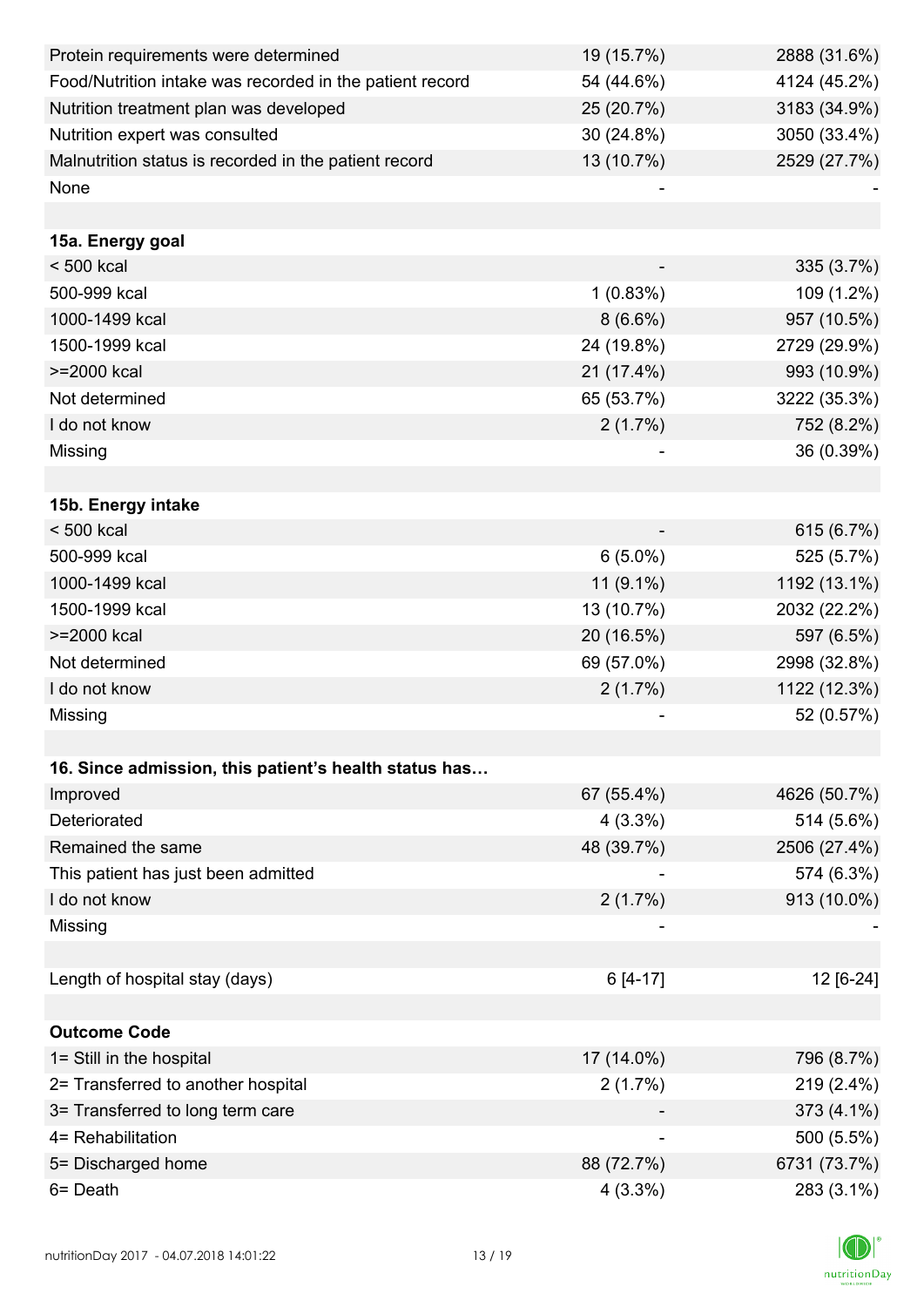| Protein requirements were determined                     | 19 (15.7%)               | 2888 (31.6%) |
|----------------------------------------------------------|--------------------------|--------------|
| Food/Nutrition intake was recorded in the patient record | 54 (44.6%)               | 4124 (45.2%) |
| Nutrition treatment plan was developed                   | 25 (20.7%)               | 3183 (34.9%) |
| Nutrition expert was consulted                           | 30 (24.8%)               | 3050 (33.4%) |
| Malnutrition status is recorded in the patient record    | 13 (10.7%)               | 2529 (27.7%) |
| None                                                     |                          |              |
|                                                          |                          |              |
| 15a. Energy goal                                         |                          |              |
| $< 500$ kcal                                             |                          | 335 (3.7%)   |
| 500-999 kcal                                             | 1(0.83%)                 | 109 (1.2%)   |
| 1000-1499 kcal                                           | $8(6.6\%)$               | 957 (10.5%)  |
| 1500-1999 kcal                                           | 24 (19.8%)               | 2729 (29.9%) |
| >=2000 kcal                                              | 21 (17.4%)               | 993 (10.9%)  |
| Not determined                                           | 65 (53.7%)               | 3222 (35.3%) |
| I do not know                                            | 2(1.7%)                  | 752 (8.2%)   |
| Missing                                                  |                          | 36 (0.39%)   |
|                                                          |                          |              |
| 15b. Energy intake                                       |                          |              |
| $< 500$ kcal                                             |                          | 615 (6.7%)   |
| 500-999 kcal                                             | $6(5.0\%)$               | 525 (5.7%)   |
| 1000-1499 kcal                                           | $11(9.1\%)$              | 1192 (13.1%) |
| 1500-1999 kcal                                           | 13 (10.7%)               | 2032 (22.2%) |
| >=2000 kcal                                              | 20 (16.5%)               | 597 (6.5%)   |
| Not determined                                           | 69 (57.0%)               | 2998 (32.8%) |
| I do not know                                            | 2(1.7%)                  | 1122 (12.3%) |
| Missing                                                  |                          | 52 (0.57%)   |
|                                                          |                          |              |
| 16. Since admission, this patient's health status has    |                          |              |
| Improved                                                 | 67 (55.4%)               | 4626 (50.7%) |
| Deteriorated                                             | $4(3.3\%)$               | 514 (5.6%)   |
| Remained the same                                        | 48 (39.7%)               | 2506 (27.4%) |
| This patient has just been admitted                      |                          | 574 (6.3%)   |
| I do not know                                            | $2(1.7\%)$               | 913 (10.0%)  |
| Missing                                                  |                          |              |
|                                                          |                          |              |
| Length of hospital stay (days)                           | $6[4-17]$                | 12 [6-24]    |
|                                                          |                          |              |
| <b>Outcome Code</b>                                      |                          |              |
| 1= Still in the hospital                                 | 17 (14.0%)               | 796 (8.7%)   |
| 2= Transferred to another hospital                       | 2(1.7%)                  | 219 (2.4%)   |
| 3= Transferred to long term care                         |                          | 373 (4.1%)   |
| 4= Rehabilitation                                        | $\overline{\phantom{a}}$ | 500 (5.5%)   |
| 5= Discharged home                                       | 88 (72.7%)               | 6731 (73.7%) |
| 6= Death                                                 | 4(3.3%)                  | 283 (3.1%)   |

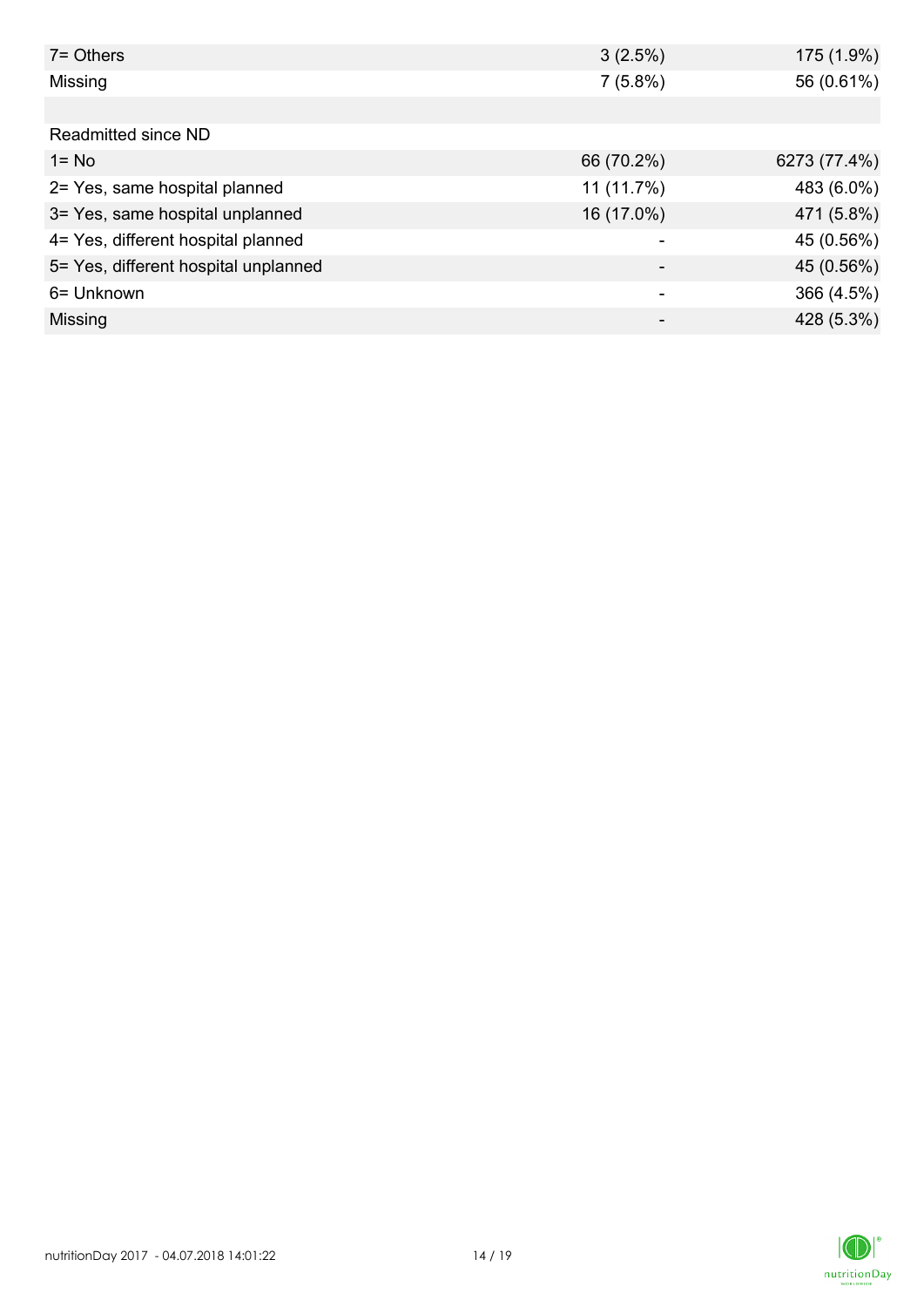| $7 =$ Others                         | 3(2.5%)    | 175 (1.9%)   |
|--------------------------------------|------------|--------------|
| Missing                              | $7(5.8\%)$ | 56 (0.61%)   |
|                                      |            |              |
| Readmitted since ND                  |            |              |
| $1 = No$                             | 66 (70.2%) | 6273 (77.4%) |
| 2= Yes, same hospital planned        | 11 (11.7%) | 483 (6.0%)   |
| 3= Yes, same hospital unplanned      | 16 (17.0%) | 471 (5.8%)   |
| 4= Yes, different hospital planned   |            | 45 (0.56%)   |
| 5= Yes, different hospital unplanned |            | 45 (0.56%)   |
| 6= Unknown                           |            | 366 (4.5%)   |
| Missing                              | -          | 428 (5.3%)   |

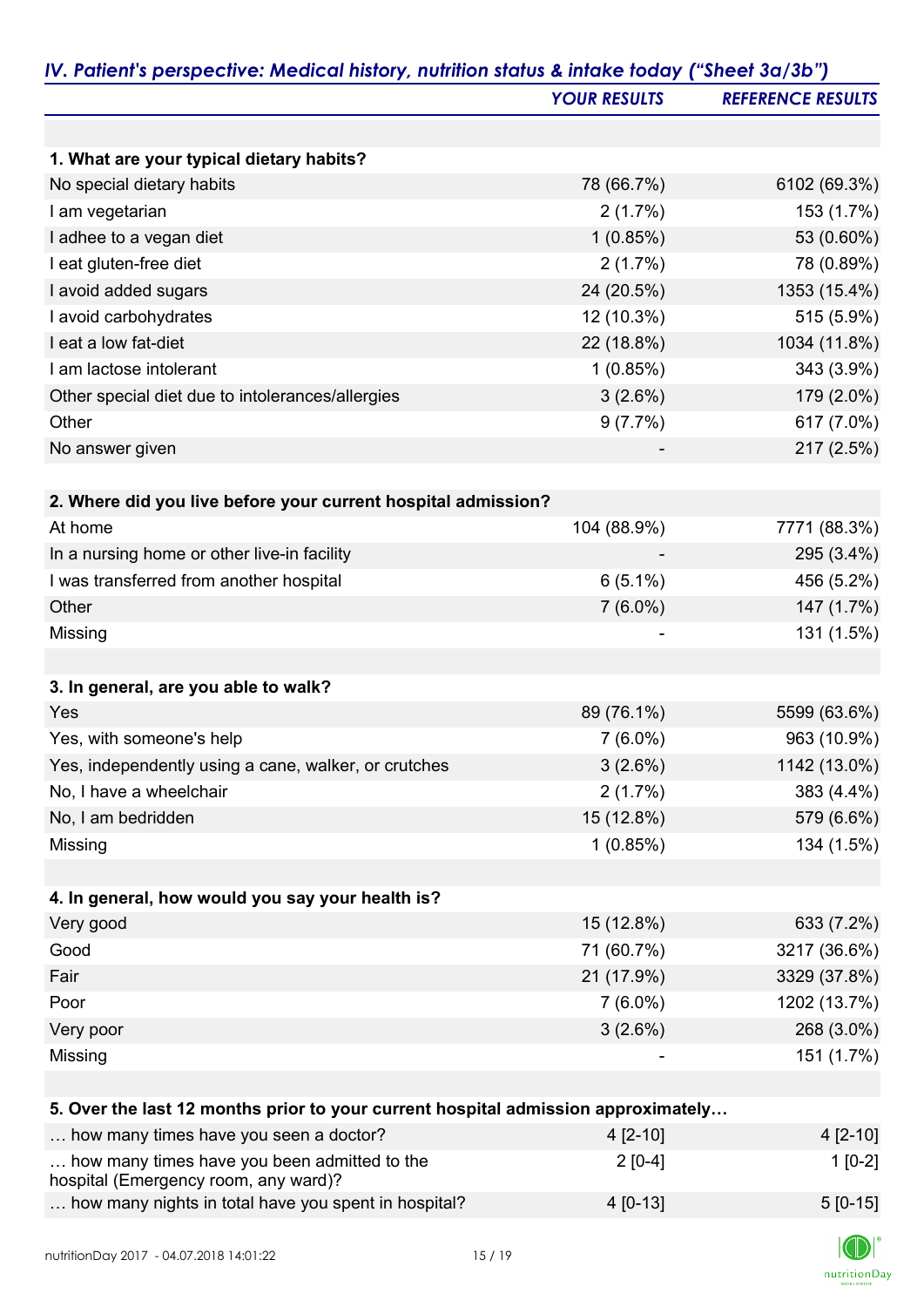|                                                                                   | <b>YOUR RESULTS</b> | <b>REFERENCE RESULTS</b> |
|-----------------------------------------------------------------------------------|---------------------|--------------------------|
|                                                                                   |                     |                          |
| 1. What are your typical dietary habits?                                          |                     |                          |
| No special dietary habits                                                         | 78 (66.7%)          | 6102 (69.3%)             |
| I am vegetarian                                                                   | 2(1.7%)             | 153 (1.7%)               |
| I adhee to a vegan diet                                                           | 1(0.85%)            | 53 (0.60%)               |
| I eat gluten-free diet                                                            | 2(1.7%)             | 78 (0.89%)               |
| I avoid added sugars                                                              | 24 (20.5%)          | 1353 (15.4%)             |
| I avoid carbohydrates                                                             | 12 (10.3%)          | 515 (5.9%)               |
| I eat a low fat-diet                                                              | 22 (18.8%)          | 1034 (11.8%)             |
| I am lactose intolerant                                                           | 1(0.85%)            | 343 (3.9%)               |
| Other special diet due to intolerances/allergies                                  | 3(2.6%)             | 179 (2.0%)               |
| Other                                                                             | 9(7.7%)             | 617 (7.0%)               |
| No answer given                                                                   |                     | 217 (2.5%)               |
|                                                                                   |                     |                          |
| 2. Where did you live before your current hospital admission?<br>At home          | 104 (88.9%)         | 7771 (88.3%)             |
|                                                                                   |                     | 295 (3.4%)               |
| In a nursing home or other live-in facility                                       |                     |                          |
| I was transferred from another hospital<br>Other                                  | $6(5.1\%)$          | 456 (5.2%)               |
| Missing                                                                           | $7(6.0\%)$          | 147 (1.7%)<br>131 (1.5%) |
|                                                                                   |                     |                          |
| 3. In general, are you able to walk?                                              |                     |                          |
| Yes                                                                               | 89 (76.1%)          | 5599 (63.6%)             |
| Yes, with someone's help                                                          | $7(6.0\%)$          | 963 (10.9%)              |
| Yes, independently using a cane, walker, or crutches                              | 3(2.6%)             | 1142 (13.0%)             |
| No, I have a wheelchair                                                           | 2(1.7%)             | 383 (4.4%)               |
| No, I am bedridden                                                                | 15 (12.8%)          | 579 (6.6%)               |
| Missing                                                                           | 1(0.85%)            | 134 (1.5%)               |
|                                                                                   |                     |                          |
| 4. In general, how would you say your health is?                                  |                     |                          |
| Very good                                                                         | 15 (12.8%)          | 633 (7.2%)               |
| Good                                                                              | 71 (60.7%)          | 3217 (36.6%)             |
| Fair                                                                              | 21 (17.9%)          | 3329 (37.8%)             |
| Poor                                                                              | $7(6.0\%)$          | 1202 (13.7%)             |
| Very poor                                                                         | 3(2.6%)             | 268 (3.0%)               |
| Missing                                                                           |                     | 151 (1.7%)               |
| 5. Over the last 12 months prior to your current hospital admission approximately |                     |                          |
| how many times have you seen a doctor?                                            | 4 [2-10]            | 4 [2-10]                 |
| how many times have you been admitted to the                                      |                     | $1[0-2]$                 |
|                                                                                   | $2[0-4]$            |                          |

hospital (Emergency room, any ward)?

... how many nights in total have you spent in hospital?  $4 [0-13]$   $5 [0-15]$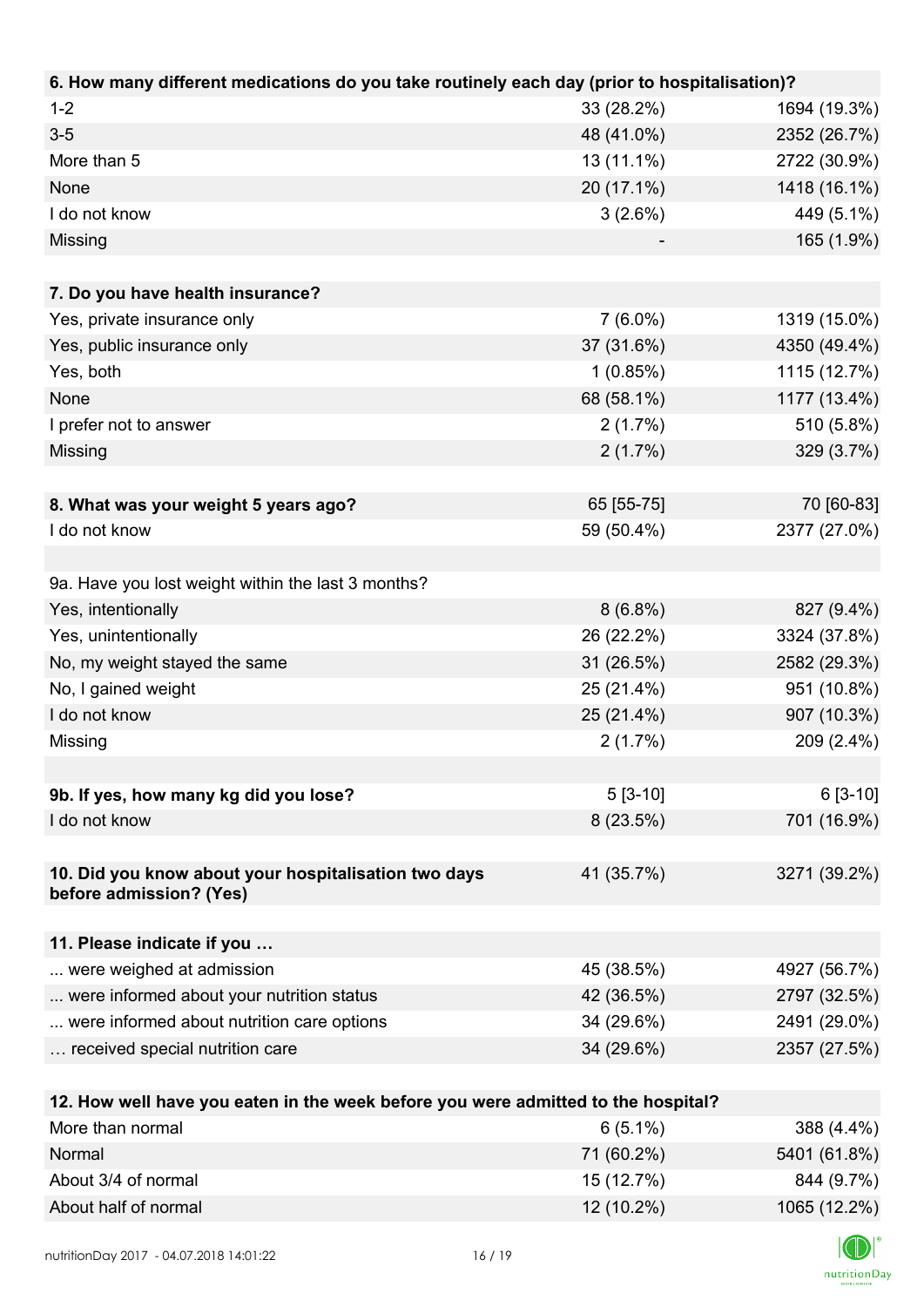| 6. How many different medications do you take routinely each day (prior to hospitalisation)? |            |              |
|----------------------------------------------------------------------------------------------|------------|--------------|
| $1 - 2$                                                                                      | 33 (28.2%) | 1694 (19.3%) |
| $3-5$                                                                                        | 48 (41.0%) | 2352 (26.7%) |
| More than 5                                                                                  | 13 (11.1%) | 2722 (30.9%) |
| None                                                                                         | 20 (17.1%) | 1418 (16.1%) |
| I do not know                                                                                | 3(2.6%)    | 449 (5.1%)   |
| Missing                                                                                      |            | 165 (1.9%)   |
|                                                                                              |            |              |
| 7. Do you have health insurance?                                                             |            |              |
| Yes, private insurance only                                                                  | $7(6.0\%)$ | 1319 (15.0%) |
| Yes, public insurance only                                                                   | 37 (31.6%) | 4350 (49.4%) |
| Yes, both                                                                                    | 1(0.85%)   | 1115 (12.7%) |
| None                                                                                         | 68 (58.1%) | 1177 (13.4%) |
| I prefer not to answer                                                                       | 2(1.7%)    | 510 (5.8%)   |
| Missing                                                                                      | 2(1.7%)    | 329 (3.7%)   |
|                                                                                              |            |              |
| 8. What was your weight 5 years ago?                                                         | 65 [55-75] | 70 [60-83]   |
| I do not know                                                                                | 59 (50.4%) | 2377 (27.0%) |
|                                                                                              |            |              |
| 9a. Have you lost weight within the last 3 months?                                           |            |              |
| Yes, intentionally                                                                           | $8(6.8\%)$ | 827 (9.4%)   |
| Yes, unintentionally                                                                         | 26 (22.2%) | 3324 (37.8%) |
| No, my weight stayed the same                                                                | 31 (26.5%) | 2582 (29.3%) |
| No, I gained weight                                                                          | 25 (21.4%) | 951 (10.8%)  |
| I do not know                                                                                | 25 (21.4%) | 907 (10.3%)  |
| Missing                                                                                      | 2(1.7%)    | 209 (2.4%)   |
|                                                                                              |            |              |
| 9b. If yes, how many kg did you lose?                                                        | $5[3-10]$  | $6[3-10]$    |
| I do not know                                                                                | 8(23.5%)   | 701 (16.9%)  |
|                                                                                              |            |              |
| 10. Did you know about your hospitalisation two days                                         | 41 (35.7%) | 3271 (39.2%) |
| before admission? (Yes)                                                                      |            |              |
|                                                                                              |            |              |
| 11. Please indicate if you                                                                   |            |              |
| were weighed at admission                                                                    | 45 (38.5%) | 4927 (56.7%) |
| were informed about your nutrition status                                                    | 42 (36.5%) | 2797 (32.5%) |
| were informed about nutrition care options                                                   | 34 (29.6%) | 2491 (29.0%) |
| received special nutrition care                                                              | 34 (29.6%) | 2357 (27.5%) |
|                                                                                              |            |              |
| 12. How well have you eaten in the week before you were admitted to the hospital?            |            |              |
| More than normal                                                                             | $6(5.1\%)$ | 388 (4.4%)   |
| Normal                                                                                       | 71 (60.2%) | 5401 (61.8%) |

About 3/4 of normal 844 (9.7%) 844 (9.7%) About half of normal 12 (10.2%) 1065 (12.2%)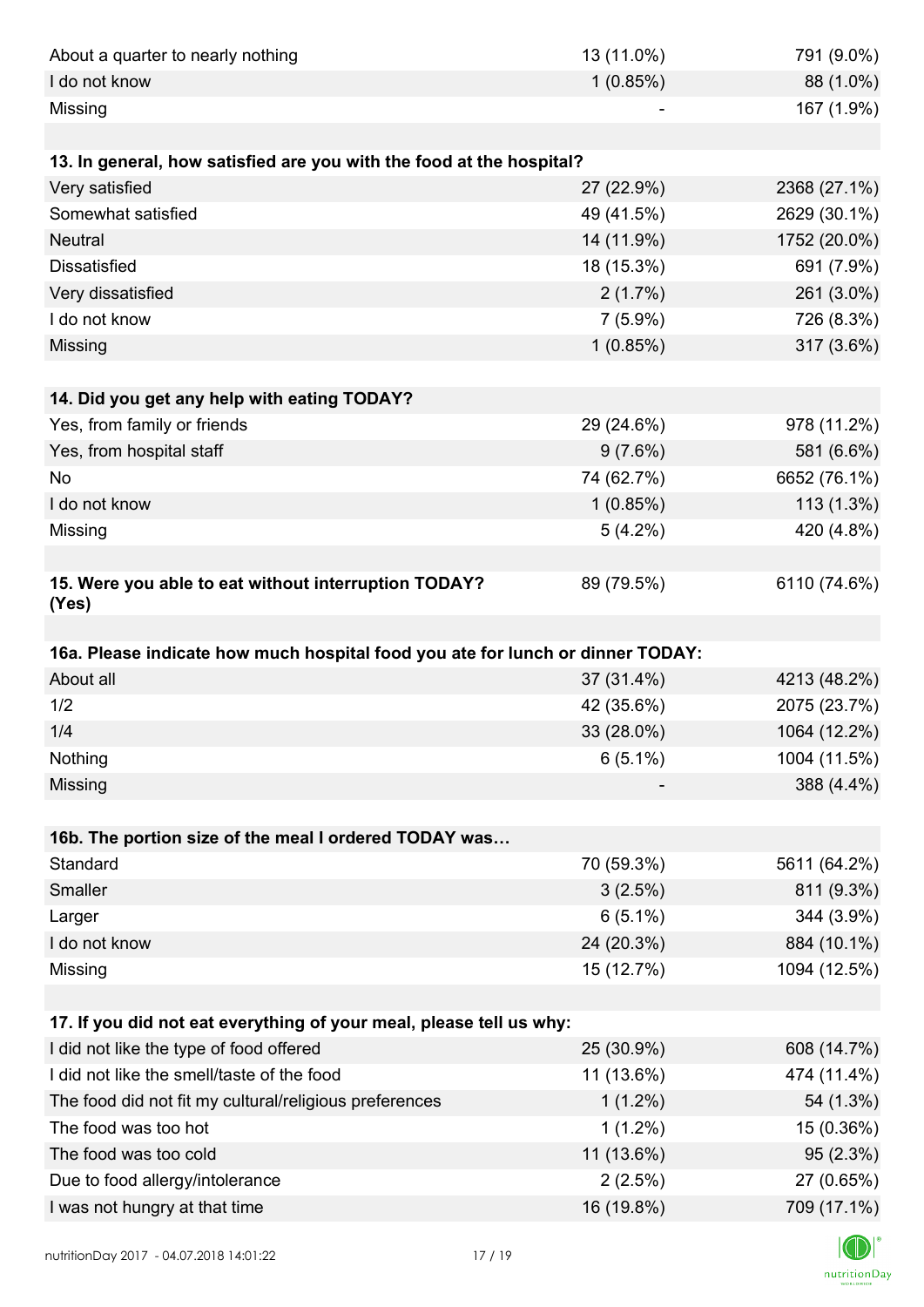| About a quarter to nearly nothing                                              | 13 (11.0%) | 791 (9.0%)   |
|--------------------------------------------------------------------------------|------------|--------------|
| I do not know                                                                  | 1(0.85%)   | 88 (1.0%)    |
| Missing                                                                        |            | 167 (1.9%)   |
|                                                                                |            |              |
| 13. In general, how satisfied are you with the food at the hospital?           |            |              |
| Very satisfied                                                                 | 27 (22.9%) | 2368 (27.1%) |
| Somewhat satisfied                                                             | 49 (41.5%) | 2629 (30.1%) |
| <b>Neutral</b>                                                                 | 14 (11.9%) | 1752 (20.0%) |
| <b>Dissatisfied</b>                                                            | 18 (15.3%) | 691 (7.9%)   |
| Very dissatisfied                                                              | 2(1.7%)    | 261 (3.0%)   |
| I do not know                                                                  | $7(5.9\%)$ | 726 (8.3%)   |
| Missing                                                                        | 1(0.85%)   | 317 (3.6%)   |
|                                                                                |            |              |
| 14. Did you get any help with eating TODAY?                                    |            |              |
| Yes, from family or friends                                                    | 29 (24.6%) | 978 (11.2%)  |
| Yes, from hospital staff                                                       | $9(7.6\%)$ | 581 (6.6%)   |
| <b>No</b>                                                                      | 74 (62.7%) | 6652 (76.1%) |
| I do not know                                                                  | 1(0.85%)   | 113 (1.3%)   |
| Missing                                                                        | $5(4.2\%)$ | 420 (4.8%)   |
|                                                                                |            |              |
| 15. Were you able to eat without interruption TODAY?<br>(Yes)                  | 89 (79.5%) | 6110 (74.6%) |
|                                                                                |            |              |
| 16a. Please indicate how much hospital food you ate for lunch or dinner TODAY: |            |              |
| About all                                                                      | 37 (31.4%) | 4213 (48.2%) |
| 1/2                                                                            | 42 (35.6%) | 2075 (23.7%) |
| 1/4                                                                            | 33 (28.0%) | 1064 (12.2%) |
| Nothing                                                                        | $6(5.1\%)$ | 1004 (11.5%) |
| Missing                                                                        |            | 388 (4.4%)   |
| 16b. The portion size of the meal I ordered TODAY was                          |            |              |
| Standard                                                                       | 70 (59.3%) | 5611 (64.2%) |
| Smaller                                                                        | 3(2.5%)    | 811 (9.3%)   |
| Larger                                                                         | $6(5.1\%)$ | 344 (3.9%)   |
| I do not know                                                                  | 24 (20.3%) | 884 (10.1%)  |
| Missing                                                                        | 15 (12.7%) | 1094 (12.5%) |
|                                                                                |            |              |
| 17. If you did not eat everything of your meal, please tell us why:            |            |              |
| I did not like the type of food offered                                        | 25 (30.9%) | 608 (14.7%)  |
| I did not like the smell/taste of the food                                     | 11 (13.6%) | 474 (11.4%)  |
| The food did not fit my cultural/religious preferences                         | $1(1.2\%)$ | 54 (1.3%)    |
| The food was too hot                                                           | $1(1.2\%)$ | 15 (0.36%)   |
| The food was too cold                                                          | 11 (13.6%) | 95(2.3%)     |
| Due to food allergy/intolerance                                                | 2(2.5%)    | 27 (0.65%)   |
| I was not hungry at that time                                                  | 16 (19.8%) | 709 (17.1%)  |
|                                                                                |            |              |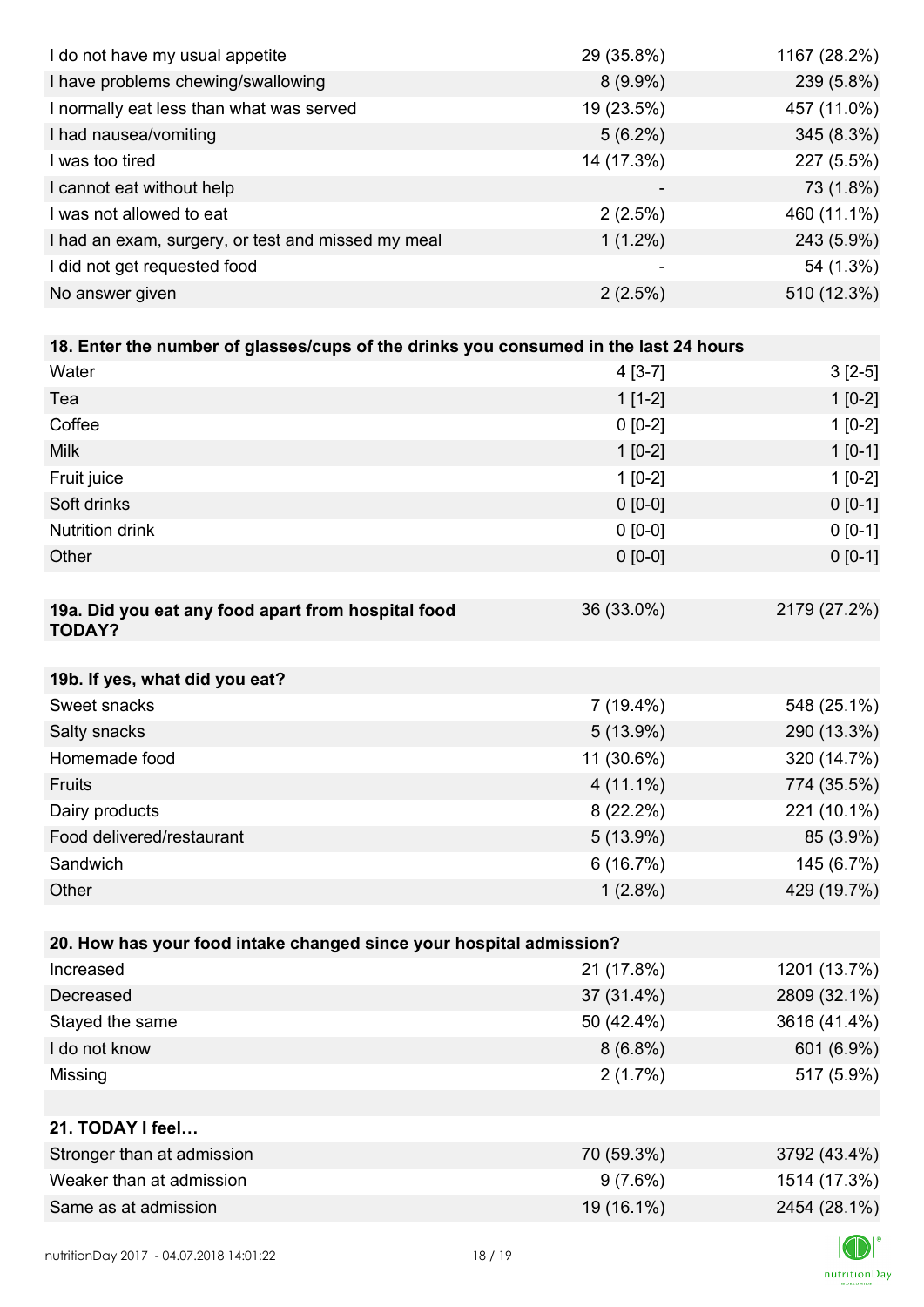| I do not have my usual appetite                                                      | 29 (35.8%)  | 1167 (28.2%) |
|--------------------------------------------------------------------------------------|-------------|--------------|
| I have problems chewing/swallowing                                                   | $8(9.9\%)$  | 239 (5.8%)   |
| I normally eat less than what was served                                             | 19 (23.5%)  | 457 (11.0%)  |
| I had nausea/vomiting                                                                | $5(6.2\%)$  | 345 (8.3%)   |
| I was too tired                                                                      | 14 (17.3%)  | 227 (5.5%)   |
| I cannot eat without help                                                            |             | 73 (1.8%)    |
| I was not allowed to eat                                                             | 2(2.5%)     | 460 (11.1%)  |
| I had an exam, surgery, or test and missed my meal                                   | $1(1.2\%)$  | 243 (5.9%)   |
| I did not get requested food                                                         |             | 54 (1.3%)    |
| No answer given                                                                      | 2(2.5%)     | 510 (12.3%)  |
|                                                                                      |             |              |
| 18. Enter the number of glasses/cups of the drinks you consumed in the last 24 hours |             |              |
| Water                                                                                | $4[3-7]$    | $3[2-5]$     |
| Tea                                                                                  | $1[1-2]$    | $1[0-2]$     |
| Coffee                                                                               | $0 [0-2]$   | $1[0-2]$     |
| <b>Milk</b>                                                                          | $1[0-2]$    | $1[0-1]$     |
| Fruit juice                                                                          | $1[0-2]$    | $1[0-2]$     |
| Soft drinks                                                                          | $0 [0-0]$   | $0 [0-1]$    |
| Nutrition drink                                                                      | $0 [0-0]$   | $0[0-1]$     |
| Other                                                                                | $0 [0-0]$   | $0 [0-1]$    |
|                                                                                      |             |              |
| 19a. Did you eat any food apart from hospital food<br><b>TODAY?</b>                  | 36 (33.0%)  | 2179 (27.2%) |
| 19b. If yes, what did you eat?                                                       |             |              |
| Sweet snacks                                                                         | $7(19.4\%)$ | 548 (25.1%)  |
| Salty snacks                                                                         | $5(13.9\%)$ | 290 (13.3%)  |
| Homemade food                                                                        | 11 (30.6%)  | 320 (14.7%)  |
| Fruits                                                                               | $4(11.1\%)$ | 774 (35.5%)  |
| Dairy products                                                                       | $8(22.2\%)$ | 221 (10.1%)  |
| Food delivered/restaurant                                                            | 5(13.9%)    | 85 (3.9%)    |
| Sandwich                                                                             | 6(16.7%)    | 145 (6.7%)   |
| Other                                                                                | $1(2.8\%)$  | 429 (19.7%)  |
|                                                                                      |             |              |
| 20. How has your food intake changed since your hospital admission?                  |             |              |
| Increased                                                                            | 21 (17.8%)  | 1201 (13.7%) |
| Decreased                                                                            | 37 (31.4%)  | 2809 (32.1%) |
| Stayed the same                                                                      | 50 (42.4%)  | 3616 (41.4%) |
| I do not know                                                                        | $8(6.8\%)$  | 601 (6.9%)   |
| Missing                                                                              | 2(1.7%)     | 517 (5.9%)   |
|                                                                                      |             |              |
| 21. TODAY I feel                                                                     |             |              |
| Stronger than at admission                                                           | 70 (59.3%)  | 3792 (43.4%) |
| Weaker than at admission                                                             | 9(7.6%)     | 1514 (17.3%) |
| Same as at admission                                                                 | 19 (16.1%)  | 2454 (28.1%) |
|                                                                                      |             |              |